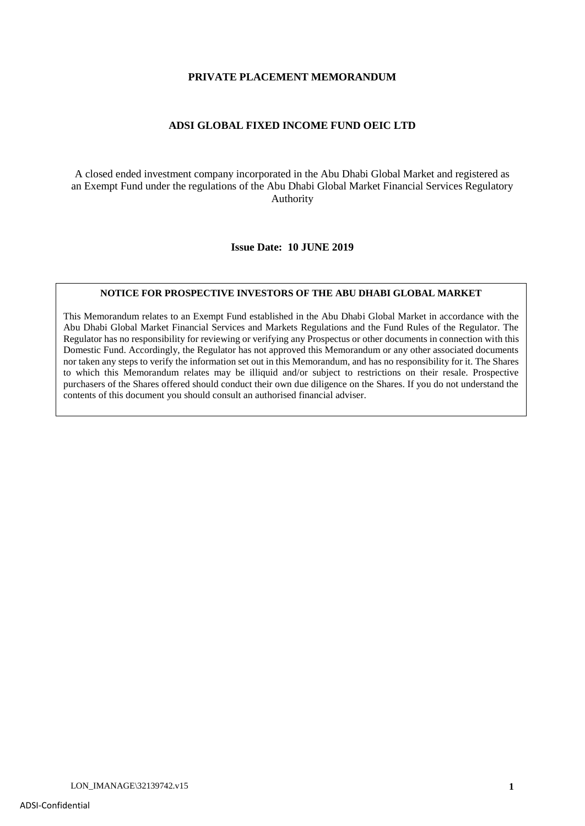#### **PRIVATE PLACEMENT MEMORANDUM**

#### **ADSI GLOBAL FIXED INCOME FUND OEIC LTD**

A closed ended investment company incorporated in the Abu Dhabi Global Market and registered as an Exempt Fund under the regulations of the Abu Dhabi Global Market Financial Services Regulatory Authority

**Issue Date: 10 JUNE 2019**

#### **NOTICE FOR PROSPECTIVE INVESTORS OF THE ABU DHABI GLOBAL MARKET**

This Memorandum relates to an Exempt Fund established in the Abu Dhabi Global Market in accordance with the Abu Dhabi Global Market Financial Services and Markets Regulations and the Fund Rules of the Regulator. The Regulator has no responsibility for reviewing or verifying any Prospectus or other documents in connection with this Domestic Fund. Accordingly, the Regulator has not approved this Memorandum or any other associated documents nor taken any steps to verify the information set out in this Memorandum, and has no responsibility for it. The Shares to which this Memorandum relates may be illiquid and/or subject to restrictions on their resale. Prospective purchasers of the Shares offered should conduct their own due diligence on the Shares. If you do not understand the contents of this document you should consult an authorised financial adviser.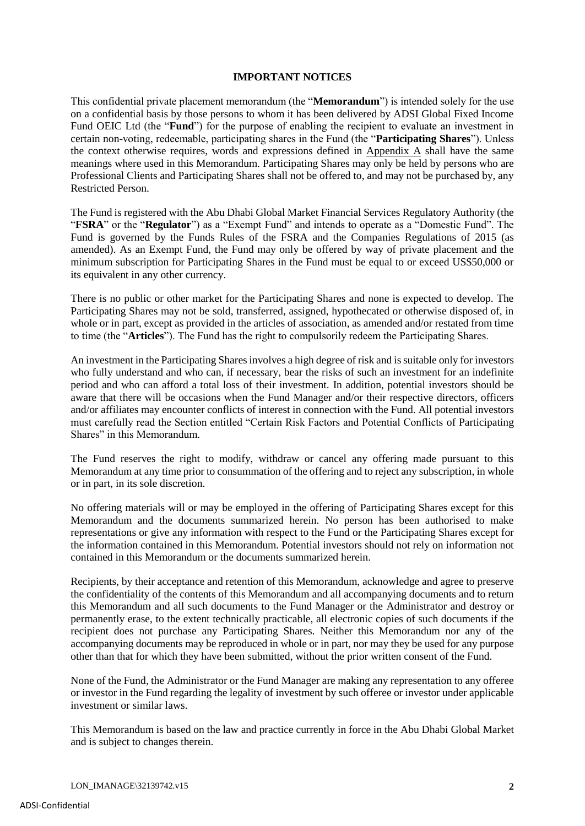## **IMPORTANT NOTICES**

This confidential private placement memorandum (the "**Memorandum**") is intended solely for the use on a confidential basis by those persons to whom it has been delivered by ADSI Global Fixed Income Fund OEIC Ltd (the "**Fund**") for the purpose of enabling the recipient to evaluate an investment in certain non-voting, redeemable, participating shares in the Fund (the "**Participating Shares**"). Unless the context otherwise requires, words and expressions defined in Appendix A shall have the same meanings where used in this Memorandum. Participating Shares may only be held by persons who are Professional Clients and Participating Shares shall not be offered to, and may not be purchased by, any Restricted Person.

The Fund is registered with the Abu Dhabi Global Market Financial Services Regulatory Authority (the "**FSRA**" or the "**Regulator**") as a "Exempt Fund" and intends to operate as a "Domestic Fund". The Fund is governed by the Funds Rules of the FSRA and the Companies Regulations of 2015 (as amended). As an Exempt Fund, the Fund may only be offered by way of private placement and the minimum subscription for Participating Shares in the Fund must be equal to or exceed US\$50,000 or its equivalent in any other currency.

There is no public or other market for the Participating Shares and none is expected to develop. The Participating Shares may not be sold, transferred, assigned, hypothecated or otherwise disposed of, in whole or in part, except as provided in the articles of association, as amended and/or restated from time to time (the "**Articles**"). The Fund has the right to compulsorily redeem the Participating Shares.

An investment in the Participating Shares involves a high degree of risk and is suitable only for investors who fully understand and who can, if necessary, bear the risks of such an investment for an indefinite period and who can afford a total loss of their investment. In addition, potential investors should be aware that there will be occasions when the Fund Manager and/or their respective directors, officers and/or affiliates may encounter conflicts of interest in connection with the Fund. All potential investors must carefully read the Section entitled "Certain Risk Factors and Potential Conflicts of Participating Shares" in this Memorandum.

The Fund reserves the right to modify, withdraw or cancel any offering made pursuant to this Memorandum at any time prior to consummation of the offering and to reject any subscription, in whole or in part, in its sole discretion.

No offering materials will or may be employed in the offering of Participating Shares except for this Memorandum and the documents summarized herein. No person has been authorised to make representations or give any information with respect to the Fund or the Participating Shares except for the information contained in this Memorandum. Potential investors should not rely on information not contained in this Memorandum or the documents summarized herein.

Recipients, by their acceptance and retention of this Memorandum, acknowledge and agree to preserve the confidentiality of the contents of this Memorandum and all accompanying documents and to return this Memorandum and all such documents to the Fund Manager or the Administrator and destroy or permanently erase, to the extent technically practicable, all electronic copies of such documents if the recipient does not purchase any Participating Shares. Neither this Memorandum nor any of the accompanying documents may be reproduced in whole or in part, nor may they be used for any purpose other than that for which they have been submitted, without the prior written consent of the Fund.

None of the Fund, the Administrator or the Fund Manager are making any representation to any offeree or investor in the Fund regarding the legality of investment by such offeree or investor under applicable investment or similar laws.

This Memorandum is based on the law and practice currently in force in the Abu Dhabi Global Market and is subject to changes therein.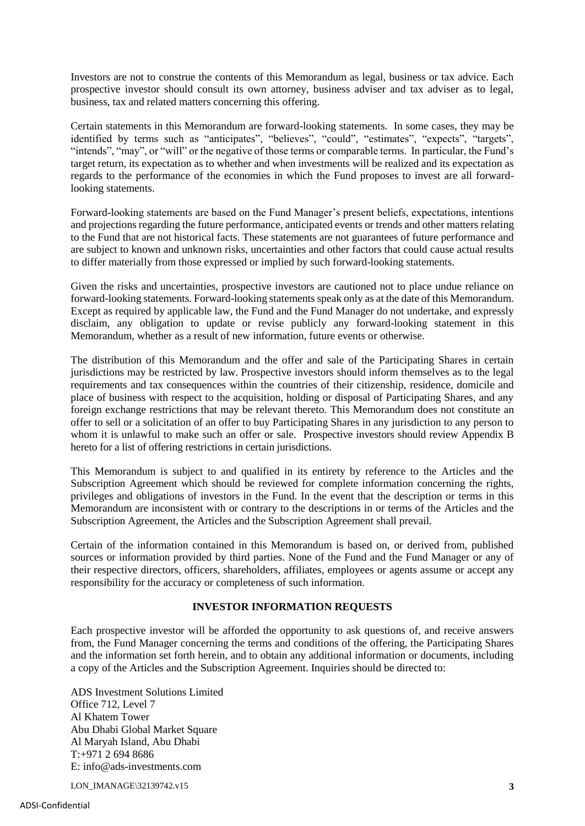Investors are not to construe the contents of this Memorandum as legal, business or tax advice. Each prospective investor should consult its own attorney, business adviser and tax adviser as to legal, business, tax and related matters concerning this offering.

Certain statements in this Memorandum are forward-looking statements. In some cases, they may be identified by terms such as "anticipates", "believes", "could", "estimates", "expects", "targets", "intends", "may", or "will" or the negative of those terms or comparable terms. In particular, the Fund's target return, its expectation as to whether and when investments will be realized and its expectation as regards to the performance of the economies in which the Fund proposes to invest are all forwardlooking statements.

Forward-looking statements are based on the Fund Manager's present beliefs, expectations, intentions and projections regarding the future performance, anticipated events or trends and other matters relating to the Fund that are not historical facts. These statements are not guarantees of future performance and are subject to known and unknown risks, uncertainties and other factors that could cause actual results to differ materially from those expressed or implied by such forward-looking statements.

Given the risks and uncertainties, prospective investors are cautioned not to place undue reliance on forward-looking statements. Forward-looking statements speak only as at the date of this Memorandum. Except as required by applicable law, the Fund and the Fund Manager do not undertake, and expressly disclaim, any obligation to update or revise publicly any forward-looking statement in this Memorandum, whether as a result of new information, future events or otherwise.

The distribution of this Memorandum and the offer and sale of the Participating Shares in certain jurisdictions may be restricted by law. Prospective investors should inform themselves as to the legal requirements and tax consequences within the countries of their citizenship, residence, domicile and place of business with respect to the acquisition, holding or disposal of Participating Shares, and any foreign exchange restrictions that may be relevant thereto. This Memorandum does not constitute an offer to sell or a solicitation of an offer to buy Participating Shares in any jurisdiction to any person to whom it is unlawful to make such an offer or sale. Prospective investors should review Appendix B hereto for a list of offering restrictions in certain jurisdictions.

This Memorandum is subject to and qualified in its entirety by reference to the Articles and the Subscription Agreement which should be reviewed for complete information concerning the rights, privileges and obligations of investors in the Fund. In the event that the description or terms in this Memorandum are inconsistent with or contrary to the descriptions in or terms of the Articles and the Subscription Agreement, the Articles and the Subscription Agreement shall prevail.

Certain of the information contained in this Memorandum is based on, or derived from, published sources or information provided by third parties. None of the Fund and the Fund Manager or any of their respective directors, officers, shareholders, affiliates, employees or agents assume or accept any responsibility for the accuracy or completeness of such information.

## **INVESTOR INFORMATION REQUESTS**

Each prospective investor will be afforded the opportunity to ask questions of, and receive answers from, the Fund Manager concerning the terms and conditions of the offering, the Participating Shares and the information set forth herein, and to obtain any additional information or documents, including a copy of the Articles and the Subscription Agreement. Inquiries should be directed to:

ADS Investment Solutions Limited Office 712, Level 7 Al Khatem Tower Abu Dhabi Global Market Square Al Maryah Island, Abu Dhabi T:+971 2 694 8686 E: info@ads-investments.com

LON\_IMANAGE\32139742.v15 **3**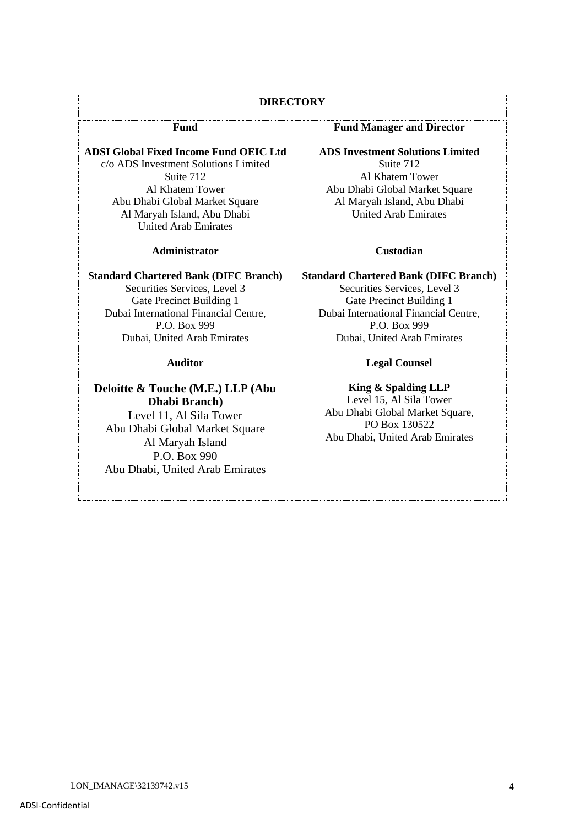## **DIRECTORY**

#### **Fund**

**ADSI Global Fixed Income Fund OEIC Ltd** c/o ADS Investment Solutions Limited Suite 712 Al Khatem Tower Abu Dhabi Global Market Square Al Maryah Island, Abu Dhabi United Arab Emirates

#### **Administrator**

**Standard Chartered Bank (DIFC Branch)** Securities Services, Level 3 Gate Precinct Building 1 Dubai International Financial Centre, P.O. Box 999 Dubai, United Arab Emirates

**Auditor**

**Deloitte & Touche (M.E.) LLP (Abu Dhabi Branch)** Level 11, Al Sila Tower Abu Dhabi Global Market Square Al Maryah Island P.O. Box 990 Abu Dhabi, United Arab Emirates

#### **Fund Manager and Director**

**ADS Investment Solutions Limited** Suite 712 Al Khatem Tower Abu Dhabi Global Market Square Al Maryah Island, Abu Dhabi United Arab Emirates

#### **Custodian**

**Standard Chartered Bank (DIFC Branch)** Securities Services, Level 3 Gate Precinct Building 1 Dubai International Financial Centre, P.O. Box 999 Dubai, United Arab Emirates

#### **Legal Counsel**

**King & Spalding LLP** Level 15, Al Sila Tower Abu Dhabi Global Market Square, PO Box 130522 Abu Dhabi, United Arab Emirates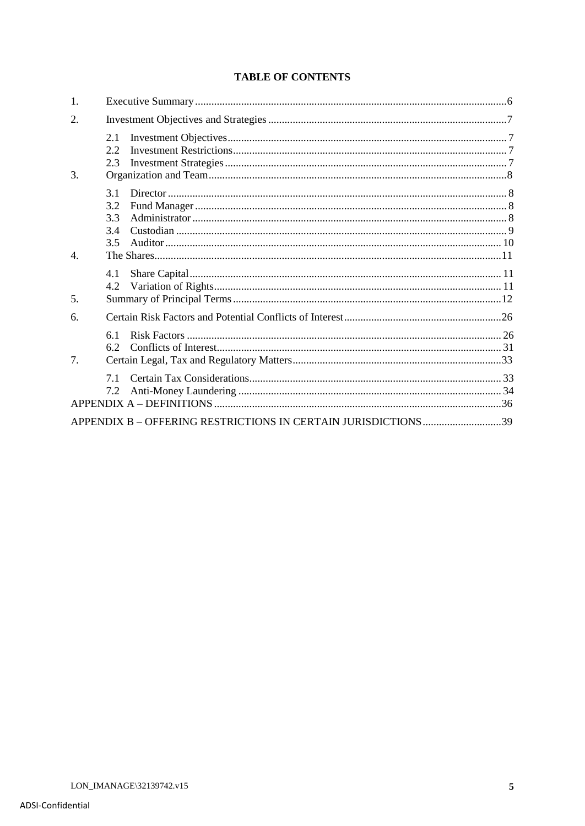# **TABLE OF CONTENTS**

| 1.               |                                                               |  |
|------------------|---------------------------------------------------------------|--|
| 2.               |                                                               |  |
| 3.               | 2.1<br>2.2<br>2.3                                             |  |
|                  | 3.1<br>3.2<br>3.3<br>3.4<br>3.5                               |  |
| $\overline{4}$ . |                                                               |  |
|                  | 4.1<br>4.2                                                    |  |
| 5.               |                                                               |  |
| 6.               |                                                               |  |
| 7.               | 6.1<br>62                                                     |  |
|                  | 71<br>7.2                                                     |  |
|                  | APPENDIX B - OFFERING RESTRICTIONS IN CERTAIN JURISDICTIONS39 |  |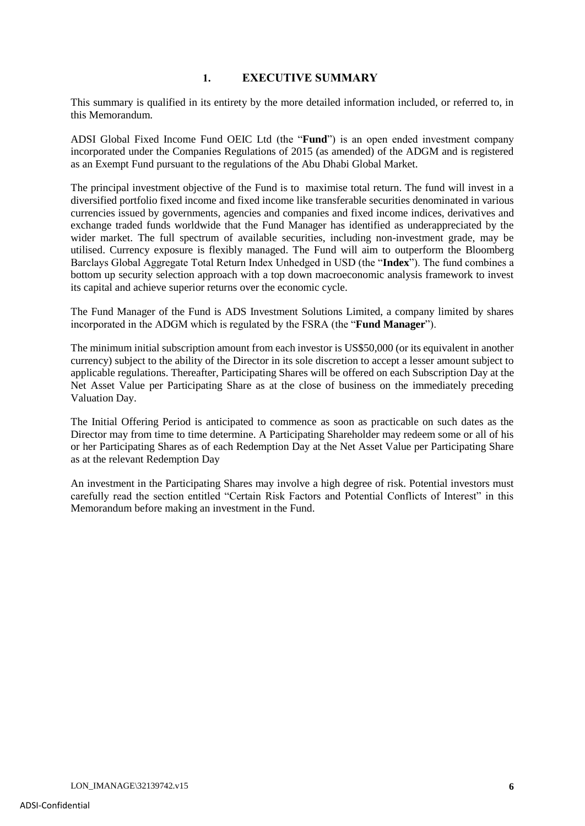# **1. EXECUTIVE SUMMARY**

This summary is qualified in its entirety by the more detailed information included, or referred to, in this Memorandum.

ADSI Global Fixed Income Fund OEIC Ltd (the "**Fund**") is an open ended investment company incorporated under the Companies Regulations of 2015 (as amended) of the ADGM and is registered as an Exempt Fund pursuant to the regulations of the Abu Dhabi Global Market.

The principal investment objective of the Fund is to maximise total return. The fund will invest in a diversified portfolio fixed income and fixed income like transferable securities denominated in various currencies issued by governments, agencies and companies and fixed income indices, derivatives and exchange traded funds worldwide that the Fund Manager has identified as underappreciated by the wider market. The full spectrum of available securities, including non-investment grade, may be utilised. Currency exposure is flexibly managed. The Fund will aim to outperform the Bloomberg Barclays Global Aggregate Total Return Index Unhedged in USD (the "**Index**"). The fund combines a bottom up security selection approach with a top down macroeconomic analysis framework to invest its capital and achieve superior returns over the economic cycle.

The Fund Manager of the Fund is ADS Investment Solutions Limited, a company limited by shares incorporated in the ADGM which is regulated by the FSRA (the "**Fund Manager**").

The minimum initial subscription amount from each investor is US\$50,000 (or its equivalent in another currency) subject to the ability of the Director in its sole discretion to accept a lesser amount subject to applicable regulations. Thereafter, Participating Shares will be offered on each Subscription Day at the Net Asset Value per Participating Share as at the close of business on the immediately preceding Valuation Day.

The Initial Offering Period is anticipated to commence as soon as practicable on such dates as the Director may from time to time determine. A Participating Shareholder may redeem some or all of his or her Participating Shares as of each Redemption Day at the Net Asset Value per Participating Share as at the relevant Redemption Day

An investment in the Participating Shares may involve a high degree of risk. Potential investors must carefully read the section entitled "Certain Risk Factors and Potential Conflicts of Interest" in this Memorandum before making an investment in the Fund.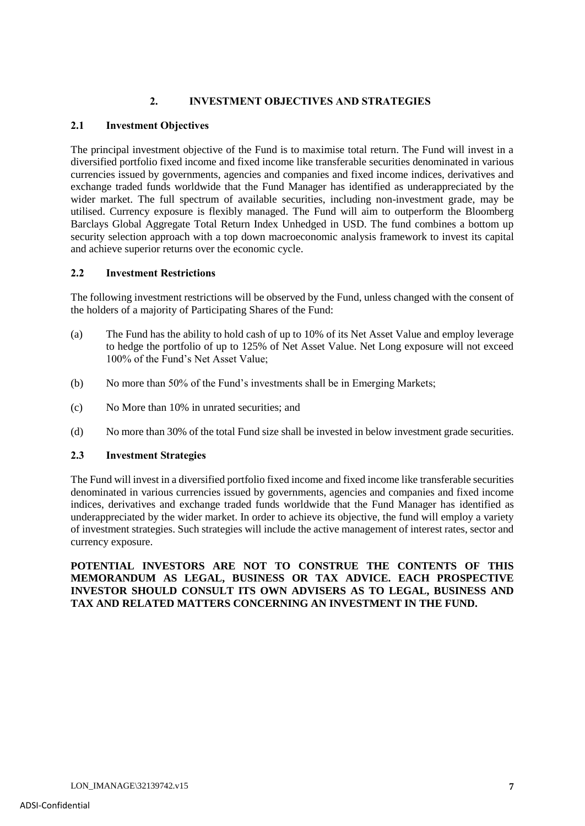# **2. INVESTMENT OBJECTIVES AND STRATEGIES**

# **2.1 Investment Objectives**

The principal investment objective of the Fund is to maximise total return. The Fund will invest in a diversified portfolio fixed income and fixed income like transferable securities denominated in various currencies issued by governments, agencies and companies and fixed income indices, derivatives and exchange traded funds worldwide that the Fund Manager has identified as underappreciated by the wider market. The full spectrum of available securities, including non-investment grade, may be utilised. Currency exposure is flexibly managed. The Fund will aim to outperform the Bloomberg Barclays Global Aggregate Total Return Index Unhedged in USD. The fund combines a bottom up security selection approach with a top down macroeconomic analysis framework to invest its capital and achieve superior returns over the economic cycle.

# **2.2 Investment Restrictions**

The following investment restrictions will be observed by the Fund, unless changed with the consent of the holders of a majority of Participating Shares of the Fund:

- (a) The Fund has the ability to hold cash of up to 10% of its Net Asset Value and employ leverage to hedge the portfolio of up to 125% of Net Asset Value. Net Long exposure will not exceed 100% of the Fund's Net Asset Value;
- (b) No more than 50% of the Fund's investments shall be in Emerging Markets;
- (c) No More than 10% in unrated securities; and
- (d) No more than 30% of the total Fund size shall be invested in below investment grade securities.

# **2.3 Investment Strategies**

The Fund will invest in a diversified portfolio fixed income and fixed income like transferable securities denominated in various currencies issued by governments, agencies and companies and fixed income indices, derivatives and exchange traded funds worldwide that the Fund Manager has identified as underappreciated by the wider market. In order to achieve its objective, the fund will employ a variety of investment strategies. Such strategies will include the active management of interest rates, sector and currency exposure.

**POTENTIAL INVESTORS ARE NOT TO CONSTRUE THE CONTENTS OF THIS MEMORANDUM AS LEGAL, BUSINESS OR TAX ADVICE. EACH PROSPECTIVE INVESTOR SHOULD CONSULT ITS OWN ADVISERS AS TO LEGAL, BUSINESS AND TAX AND RELATED MATTERS CONCERNING AN INVESTMENT IN THE FUND.**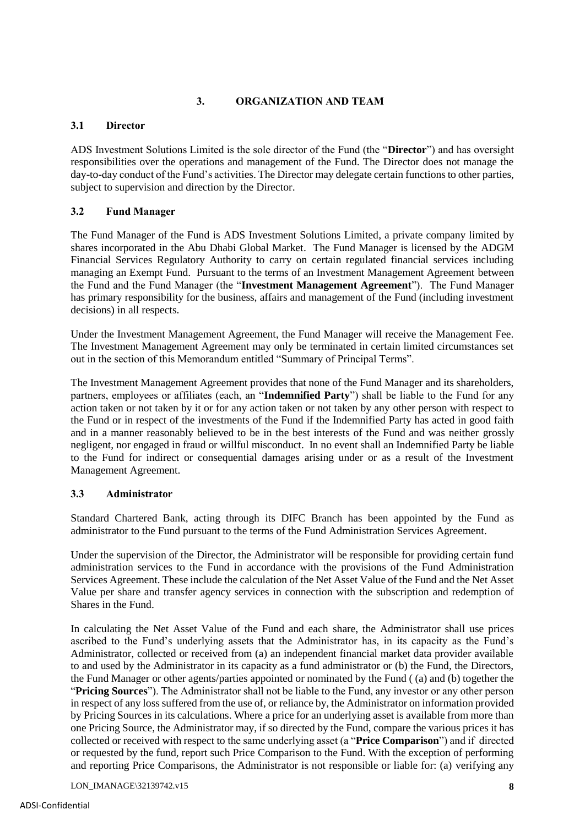# **3. ORGANIZATION AND TEAM**

## **3.1 Director**

ADS Investment Solutions Limited is the sole director of the Fund (the "**Director**") and has oversight responsibilities over the operations and management of the Fund. The Director does not manage the day-to-day conduct of the Fund's activities. The Director may delegate certain functions to other parties, subject to supervision and direction by the Director.

## **3.2 Fund Manager**

The Fund Manager of the Fund is ADS Investment Solutions Limited, a private company limited by shares incorporated in the Abu Dhabi Global Market. The Fund Manager is licensed by the ADGM Financial Services Regulatory Authority to carry on certain regulated financial services including managing an Exempt Fund. Pursuant to the terms of an Investment Management Agreement between the Fund and the Fund Manager (the "**Investment Management Agreement**"). The Fund Manager has primary responsibility for the business, affairs and management of the Fund (including investment decisions) in all respects.

Under the Investment Management Agreement, the Fund Manager will receive the Management Fee. The Investment Management Agreement may only be terminated in certain limited circumstances set out in the section of this Memorandum entitled "Summary of Principal Terms".

The Investment Management Agreement provides that none of the Fund Manager and its shareholders, partners, employees or affiliates (each, an "**Indemnified Party**") shall be liable to the Fund for any action taken or not taken by it or for any action taken or not taken by any other person with respect to the Fund or in respect of the investments of the Fund if the Indemnified Party has acted in good faith and in a manner reasonably believed to be in the best interests of the Fund and was neither grossly negligent, nor engaged in fraud or willful misconduct. In no event shall an Indemnified Party be liable to the Fund for indirect or consequential damages arising under or as a result of the Investment Management Agreement.

## **3.3 Administrator**

Standard Chartered Bank, acting through its DIFC Branch has been appointed by the Fund as administrator to the Fund pursuant to the terms of the Fund Administration Services Agreement.

Under the supervision of the Director, the Administrator will be responsible for providing certain fund administration services to the Fund in accordance with the provisions of the Fund Administration Services Agreement. These include the calculation of the Net Asset Value of the Fund and the Net Asset Value per share and transfer agency services in connection with the subscription and redemption of Shares in the Fund.

In calculating the Net Asset Value of the Fund and each share, the Administrator shall use prices ascribed to the Fund's underlying assets that the Administrator has, in its capacity as the Fund's Administrator, collected or received from (a) an independent financial market data provider available to and used by the Administrator in its capacity as a fund administrator or (b) the Fund, the Directors, the Fund Manager or other agents/parties appointed or nominated by the Fund ( (a) and (b) together the "**Pricing Sources**"). The Administrator shall not be liable to the Fund, any investor or any other person in respect of any loss suffered from the use of, or reliance by, the Administrator on information provided by Pricing Sources in its calculations. Where a price for an underlying asset is available from more than one Pricing Source, the Administrator may, if so directed by the Fund, compare the various prices it has collected or received with respect to the same underlying asset (a "**Price Comparison**") and if directed or requested by the fund, report such Price Comparison to the Fund. With the exception of performing and reporting Price Comparisons, the Administrator is not responsible or liable for: (a) verifying any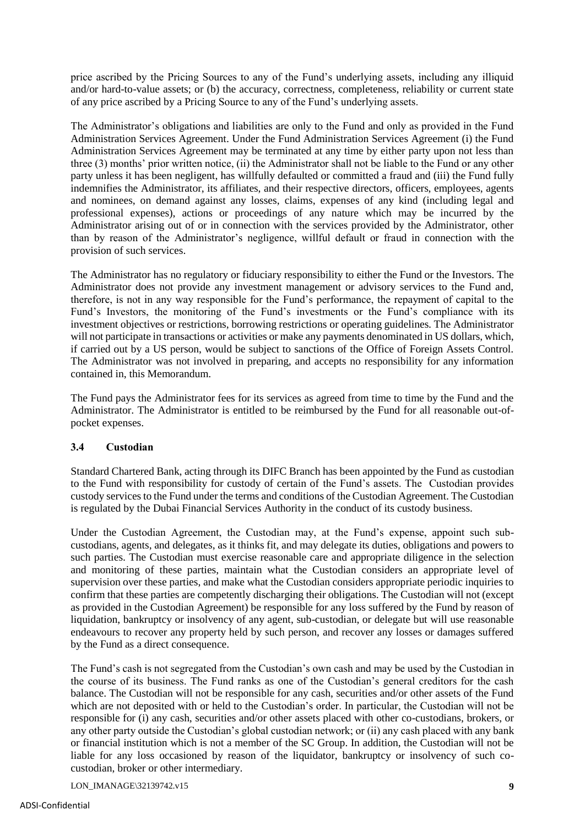price ascribed by the Pricing Sources to any of the Fund's underlying assets, including any illiquid and/or hard-to-value assets; or (b) the accuracy, correctness, completeness, reliability or current state of any price ascribed by a Pricing Source to any of the Fund's underlying assets.

The Administrator's obligations and liabilities are only to the Fund and only as provided in the Fund Administration Services Agreement. Under the Fund Administration Services Agreement (i) the Fund Administration Services Agreement may be terminated at any time by either party upon not less than three (3) months' prior written notice, (ii) the Administrator shall not be liable to the Fund or any other party unless it has been negligent, has willfully defaulted or committed a fraud and (iii) the Fund fully indemnifies the Administrator, its affiliates, and their respective directors, officers, employees, agents and nominees, on demand against any losses, claims, expenses of any kind (including legal and professional expenses), actions or proceedings of any nature which may be incurred by the Administrator arising out of or in connection with the services provided by the Administrator, other than by reason of the Administrator's negligence, willful default or fraud in connection with the provision of such services.

The Administrator has no regulatory or fiduciary responsibility to either the Fund or the Investors. The Administrator does not provide any investment management or advisory services to the Fund and, therefore, is not in any way responsible for the Fund's performance, the repayment of capital to the Fund's Investors, the monitoring of the Fund's investments or the Fund's compliance with its investment objectives or restrictions, borrowing restrictions or operating guidelines. The Administrator will not participate in transactions or activities or make any payments denominated in US dollars, which, if carried out by a US person, would be subject to sanctions of the Office of Foreign Assets Control. The Administrator was not involved in preparing, and accepts no responsibility for any information contained in, this Memorandum.

The Fund pays the Administrator fees for its services as agreed from time to time by the Fund and the Administrator. The Administrator is entitled to be reimbursed by the Fund for all reasonable out-ofpocket expenses.

# **3.4 Custodian**

Standard Chartered Bank, acting through its DIFC Branch has been appointed by the Fund as custodian to the Fund with responsibility for custody of certain of the Fund's assets. The Custodian provides custody services to the Fund under the terms and conditions of the Custodian Agreement. The Custodian is regulated by the Dubai Financial Services Authority in the conduct of its custody business.

Under the Custodian Agreement, the Custodian may, at the Fund's expense, appoint such subcustodians, agents, and delegates, as it thinks fit, and may delegate its duties, obligations and powers to such parties. The Custodian must exercise reasonable care and appropriate diligence in the selection and monitoring of these parties, maintain what the Custodian considers an appropriate level of supervision over these parties, and make what the Custodian considers appropriate periodic inquiries to confirm that these parties are competently discharging their obligations. The Custodian will not (except as provided in the Custodian Agreement) be responsible for any loss suffered by the Fund by reason of liquidation, bankruptcy or insolvency of any agent, sub-custodian, or delegate but will use reasonable endeavours to recover any property held by such person, and recover any losses or damages suffered by the Fund as a direct consequence.

The Fund's cash is not segregated from the Custodian's own cash and may be used by the Custodian in the course of its business. The Fund ranks as one of the Custodian's general creditors for the cash balance. The Custodian will not be responsible for any cash, securities and/or other assets of the Fund which are not deposited with or held to the Custodian's order. In particular, the Custodian will not be responsible for (i) any cash, securities and/or other assets placed with other co-custodians, brokers, or any other party outside the Custodian's global custodian network; or (ii) any cash placed with any bank or financial institution which is not a member of the SC Group. In addition, the Custodian will not be liable for any loss occasioned by reason of the liquidator, bankruptcy or insolvency of such cocustodian, broker or other intermediary.

LON\_IMANAGE\32139742.v15 **9**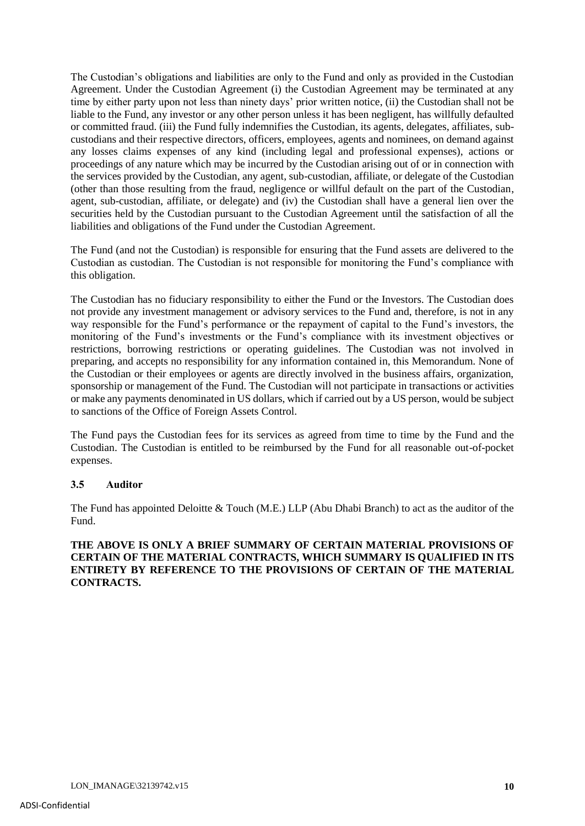The Custodian's obligations and liabilities are only to the Fund and only as provided in the Custodian Agreement. Under the Custodian Agreement (i) the Custodian Agreement may be terminated at any time by either party upon not less than ninety days' prior written notice, (ii) the Custodian shall not be liable to the Fund, any investor or any other person unless it has been negligent, has willfully defaulted or committed fraud. (iii) the Fund fully indemnifies the Custodian, its agents, delegates, affiliates, subcustodians and their respective directors, officers, employees, agents and nominees, on demand against any losses claims expenses of any kind (including legal and professional expenses), actions or proceedings of any nature which may be incurred by the Custodian arising out of or in connection with the services provided by the Custodian, any agent, sub-custodian, affiliate, or delegate of the Custodian (other than those resulting from the fraud, negligence or willful default on the part of the Custodian, agent, sub-custodian, affiliate, or delegate) and (iv) the Custodian shall have a general lien over the securities held by the Custodian pursuant to the Custodian Agreement until the satisfaction of all the liabilities and obligations of the Fund under the Custodian Agreement.

The Fund (and not the Custodian) is responsible for ensuring that the Fund assets are delivered to the Custodian as custodian. The Custodian is not responsible for monitoring the Fund's compliance with this obligation.

The Custodian has no fiduciary responsibility to either the Fund or the Investors. The Custodian does not provide any investment management or advisory services to the Fund and, therefore, is not in any way responsible for the Fund's performance or the repayment of capital to the Fund's investors, the monitoring of the Fund's investments or the Fund's compliance with its investment objectives or restrictions, borrowing restrictions or operating guidelines. The Custodian was not involved in preparing, and accepts no responsibility for any information contained in, this Memorandum. None of the Custodian or their employees or agents are directly involved in the business affairs, organization, sponsorship or management of the Fund. The Custodian will not participate in transactions or activities or make any payments denominated in US dollars, which if carried out by a US person, would be subject to sanctions of the Office of Foreign Assets Control.

The Fund pays the Custodian fees for its services as agreed from time to time by the Fund and the Custodian. The Custodian is entitled to be reimbursed by the Fund for all reasonable out-of-pocket expenses.

## **3.5 Auditor**

The Fund has appointed Deloitte & Touch (M.E.) LLP (Abu Dhabi Branch) to act as the auditor of the Fund.

## **THE ABOVE IS ONLY A BRIEF SUMMARY OF CERTAIN MATERIAL PROVISIONS OF CERTAIN OF THE MATERIAL CONTRACTS, WHICH SUMMARY IS QUALIFIED IN ITS ENTIRETY BY REFERENCE TO THE PROVISIONS OF CERTAIN OF THE MATERIAL CONTRACTS.**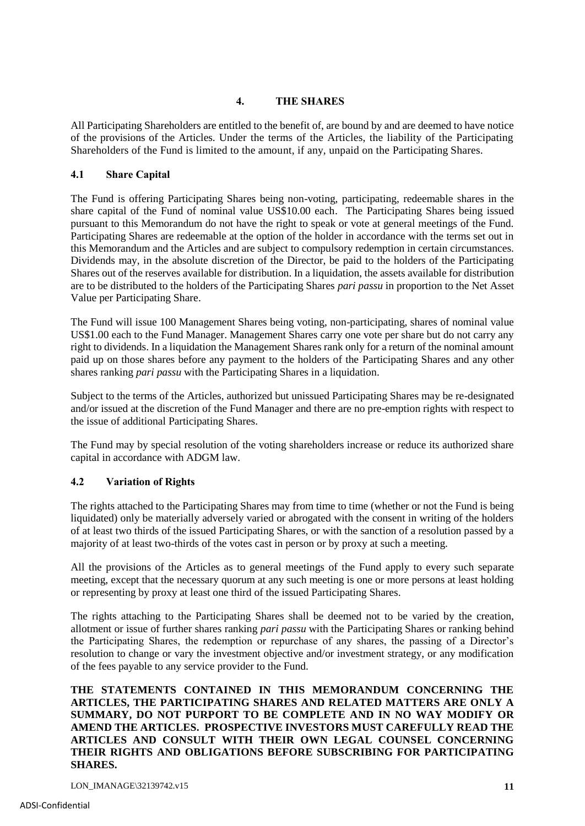## **4. THE SHARES**

All Participating Shareholders are entitled to the benefit of, are bound by and are deemed to have notice of the provisions of the Articles. Under the terms of the Articles, the liability of the Participating Shareholders of the Fund is limited to the amount, if any, unpaid on the Participating Shares.

## **4.1 Share Capital**

The Fund is offering Participating Shares being non-voting, participating, redeemable shares in the share capital of the Fund of nominal value US\$10.00 each. The Participating Shares being issued pursuant to this Memorandum do not have the right to speak or vote at general meetings of the Fund. Participating Shares are redeemable at the option of the holder in accordance with the terms set out in this Memorandum and the Articles and are subject to compulsory redemption in certain circumstances. Dividends may, in the absolute discretion of the Director, be paid to the holders of the Participating Shares out of the reserves available for distribution. In a liquidation, the assets available for distribution are to be distributed to the holders of the Participating Shares *pari passu* in proportion to the Net Asset Value per Participating Share.

The Fund will issue 100 Management Shares being voting, non-participating, shares of nominal value US\$1.00 each to the Fund Manager. Management Shares carry one vote per share but do not carry any right to dividends. In a liquidation the Management Shares rank only for a return of the nominal amount paid up on those shares before any payment to the holders of the Participating Shares and any other shares ranking *pari passu* with the Participating Shares in a liquidation.

Subject to the terms of the Articles, authorized but unissued Participating Shares may be re-designated and/or issued at the discretion of the Fund Manager and there are no pre-emption rights with respect to the issue of additional Participating Shares.

The Fund may by special resolution of the voting shareholders increase or reduce its authorized share capital in accordance with ADGM law.

# **4.2 Variation of Rights**

The rights attached to the Participating Shares may from time to time (whether or not the Fund is being liquidated) only be materially adversely varied or abrogated with the consent in writing of the holders of at least two thirds of the issued Participating Shares, or with the sanction of a resolution passed by a majority of at least two-thirds of the votes cast in person or by proxy at such a meeting.

All the provisions of the Articles as to general meetings of the Fund apply to every such separate meeting, except that the necessary quorum at any such meeting is one or more persons at least holding or representing by proxy at least one third of the issued Participating Shares.

The rights attaching to the Participating Shares shall be deemed not to be varied by the creation, allotment or issue of further shares ranking *pari passu* with the Participating Shares or ranking behind the Participating Shares, the redemption or repurchase of any shares, the passing of a Director's resolution to change or vary the investment objective and/or investment strategy, or any modification of the fees payable to any service provider to the Fund.

**THE STATEMENTS CONTAINED IN THIS MEMORANDUM CONCERNING THE ARTICLES, THE PARTICIPATING SHARES AND RELATED MATTERS ARE ONLY A SUMMARY, DO NOT PURPORT TO BE COMPLETE AND IN NO WAY MODIFY OR AMEND THE ARTICLES. PROSPECTIVE INVESTORS MUST CAREFULLY READ THE ARTICLES AND CONSULT WITH THEIR OWN LEGAL COUNSEL CONCERNING THEIR RIGHTS AND OBLIGATIONS BEFORE SUBSCRIBING FOR PARTICIPATING SHARES.**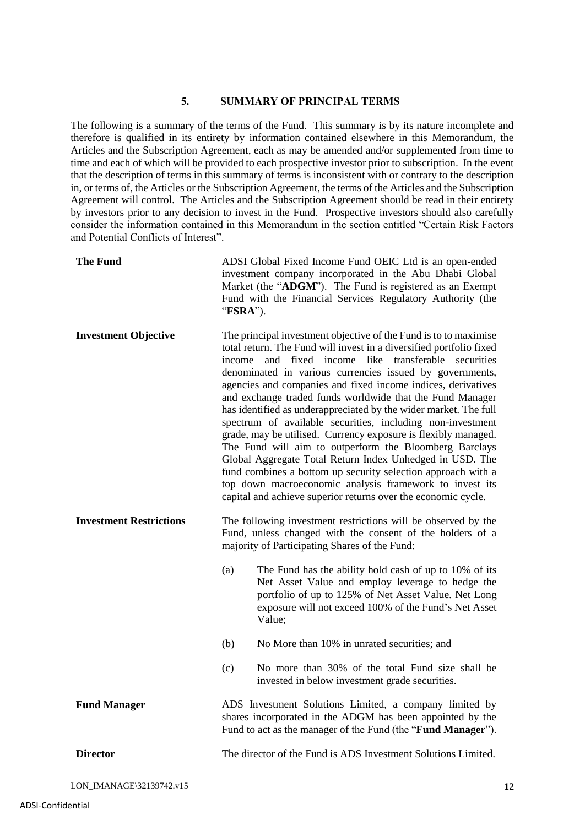#### **5. SUMMARY OF PRINCIPAL TERMS**

The following is a summary of the terms of the Fund. This summary is by its nature incomplete and therefore is qualified in its entirety by information contained elsewhere in this Memorandum, the Articles and the Subscription Agreement, each as may be amended and/or supplemented from time to time and each of which will be provided to each prospective investor prior to subscription. In the event that the description of terms in this summary of terms is inconsistent with or contrary to the description in, or terms of, the Articles or the Subscription Agreement, the terms of the Articles and the Subscription Agreement will control. The Articles and the Subscription Agreement should be read in their entirety by investors prior to any decision to invest in the Fund. Prospective investors should also carefully consider the information contained in this Memorandum in the section entitled "Certain Risk Factors and Potential Conflicts of Interest".

| <b>The Fund</b>                | ADSI Global Fixed Income Fund OEIC Ltd is an open-ended<br>investment company incorporated in the Abu Dhabi Global<br>Market (the "ADGM"). The Fund is registered as an Exempt<br>Fund with the Financial Services Regulatory Authority (the<br>"FSRA").                                                                                                                                                                                                                                                                                                                                                                                                                                                                                                                                                                                                                                                             |  |
|--------------------------------|----------------------------------------------------------------------------------------------------------------------------------------------------------------------------------------------------------------------------------------------------------------------------------------------------------------------------------------------------------------------------------------------------------------------------------------------------------------------------------------------------------------------------------------------------------------------------------------------------------------------------------------------------------------------------------------------------------------------------------------------------------------------------------------------------------------------------------------------------------------------------------------------------------------------|--|
| <b>Investment Objective</b>    | The principal investment objective of the Fund is to to maximise<br>total return. The Fund will invest in a diversified portfolio fixed<br>and fixed income like<br>transferable securities<br>income<br>denominated in various currencies issued by governments,<br>agencies and companies and fixed income indices, derivatives<br>and exchange traded funds worldwide that the Fund Manager<br>has identified as underappreciated by the wider market. The full<br>spectrum of available securities, including non-investment<br>grade, may be utilised. Currency exposure is flexibly managed.<br>The Fund will aim to outperform the Bloomberg Barclays<br>Global Aggregate Total Return Index Unhedged in USD. The<br>fund combines a bottom up security selection approach with a<br>top down macroeconomic analysis framework to invest its<br>capital and achieve superior returns over the economic cycle. |  |
| <b>Investment Restrictions</b> | The following investment restrictions will be observed by the<br>Fund, unless changed with the consent of the holders of a<br>majority of Participating Shares of the Fund:                                                                                                                                                                                                                                                                                                                                                                                                                                                                                                                                                                                                                                                                                                                                          |  |
|                                | The Fund has the ability hold cash of up to 10% of its<br>(a)<br>Net Asset Value and employ leverage to hedge the<br>portfolio of up to 125% of Net Asset Value. Net Long<br>exposure will not exceed 100% of the Fund's Net Asset<br>Value;                                                                                                                                                                                                                                                                                                                                                                                                                                                                                                                                                                                                                                                                         |  |
|                                | (b)<br>No More than 10% in unrated securities; and                                                                                                                                                                                                                                                                                                                                                                                                                                                                                                                                                                                                                                                                                                                                                                                                                                                                   |  |
|                                | No more than 30% of the total Fund size shall be<br>(c)<br>invested in below investment grade securities.                                                                                                                                                                                                                                                                                                                                                                                                                                                                                                                                                                                                                                                                                                                                                                                                            |  |
| <b>Fund Manager</b>            | ADS Investment Solutions Limited, a company limited by<br>shares incorporated in the ADGM has been appointed by the<br>Fund to act as the manager of the Fund (the " <b>Fund Manager</b> ").                                                                                                                                                                                                                                                                                                                                                                                                                                                                                                                                                                                                                                                                                                                         |  |
| <b>Director</b>                | The director of the Fund is ADS Investment Solutions Limited.                                                                                                                                                                                                                                                                                                                                                                                                                                                                                                                                                                                                                                                                                                                                                                                                                                                        |  |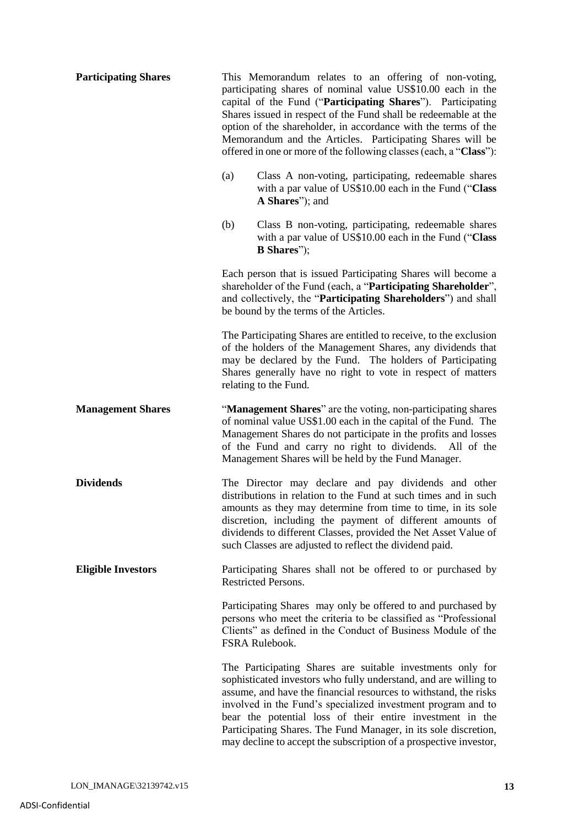| <b>Participating Shares</b> | This Memorandum relates to an offering of non-voting,<br>participating shares of nominal value US\$10.00 each in the<br>capital of the Fund ("Participating Shares"). Participating<br>Shares issued in respect of the Fund shall be redeemable at the<br>option of the shareholder, in accordance with the terms of the<br>Memorandum and the Articles. Participating Shares will be<br>offered in one or more of the following classes (each, a "Class"):             |
|-----------------------------|-------------------------------------------------------------------------------------------------------------------------------------------------------------------------------------------------------------------------------------------------------------------------------------------------------------------------------------------------------------------------------------------------------------------------------------------------------------------------|
|                             | (a)<br>Class A non-voting, participating, redeemable shares<br>with a par value of US\$10.00 each in the Fund ("Class<br>A Shares"); and                                                                                                                                                                                                                                                                                                                                |
|                             | (b)<br>Class B non-voting, participating, redeemable shares<br>with a par value of US\$10.00 each in the Fund ("Class"<br><b>B</b> Shares");                                                                                                                                                                                                                                                                                                                            |
|                             | Each person that is issued Participating Shares will become a<br>shareholder of the Fund (each, a "Participating Shareholder",<br>and collectively, the "Participating Shareholders") and shall<br>be bound by the terms of the Articles.                                                                                                                                                                                                                               |
|                             | The Participating Shares are entitled to receive, to the exclusion<br>of the holders of the Management Shares, any dividends that<br>may be declared by the Fund. The holders of Participating<br>Shares generally have no right to vote in respect of matters<br>relating to the Fund.                                                                                                                                                                                 |
| <b>Management Shares</b>    | "Management Shares" are the voting, non-participating shares<br>of nominal value US\$1.00 each in the capital of the Fund. The<br>Management Shares do not participate in the profits and losses<br>of the Fund and carry no right to dividends. All of the<br>Management Shares will be held by the Fund Manager.                                                                                                                                                      |
| <b>Dividends</b>            | The Director may declare and pay dividends and other<br>distributions in relation to the Fund at such times and in such<br>amounts as they may determine from time to time, in its sole<br>discretion, including the payment of different amounts of<br>dividends to different Classes, provided the Net Asset Value of<br>such Classes are adjusted to reflect the dividend paid.                                                                                      |
| <b>Eligible Investors</b>   | Participating Shares shall not be offered to or purchased by<br>Restricted Persons.                                                                                                                                                                                                                                                                                                                                                                                     |
|                             | Participating Shares may only be offered to and purchased by<br>persons who meet the criteria to be classified as "Professional<br>Clients" as defined in the Conduct of Business Module of the<br>FSRA Rulebook.                                                                                                                                                                                                                                                       |
|                             | The Participating Shares are suitable investments only for<br>sophisticated investors who fully understand, and are willing to<br>assume, and have the financial resources to withstand, the risks<br>involved in the Fund's specialized investment program and to<br>bear the potential loss of their entire investment in the<br>Participating Shares. The Fund Manager, in its sole discretion,<br>may decline to accept the subscription of a prospective investor, |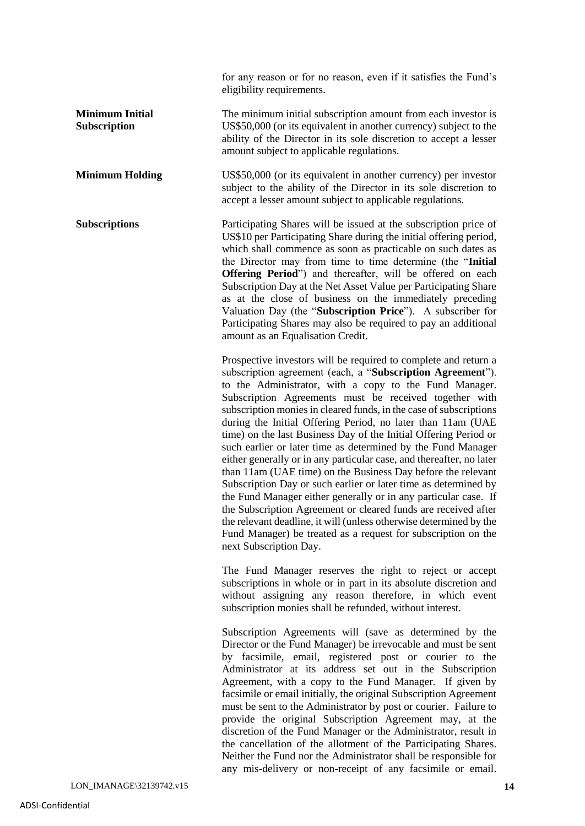for any reason or for no reason, even if it satisfies the Fund's eligibility requirements.

- **Minimum Initial Subscription** The minimum initial subscription amount from each investor is US\$50,000 (or its equivalent in another currency) subject to the ability of the Director in its sole discretion to accept a lesser amount subject to applicable regulations.
- **Minimum Holding** US\$50,000 (or its equivalent in another currency) per investor subject to the ability of the Director in its sole discretion to accept a lesser amount subject to applicable regulations.

**Subscriptions** Participating Shares will be issued at the subscription price of US\$10 per Participating Share during the initial offering period, which shall commence as soon as practicable on such dates as the Director may from time to time determine (the "**Initial Offering Period**") and thereafter, will be offered on each Subscription Day at the Net Asset Value per Participating Share as at the close of business on the immediately preceding Valuation Day (the "**Subscription Price**"). A subscriber for Participating Shares may also be required to pay an additional amount as an Equalisation Credit.

> Prospective investors will be required to complete and return a subscription agreement (each, a "**Subscription Agreement**"). to the Administrator, with a copy to the Fund Manager. Subscription Agreements must be received together with subscription monies in cleared funds, in the case of subscriptions during the Initial Offering Period, no later than 11am (UAE time) on the last Business Day of the Initial Offering Period or such earlier or later time as determined by the Fund Manager either generally or in any particular case, and thereafter, no later than 11am (UAE time) on the Business Day before the relevant Subscription Day or such earlier or later time as determined by the Fund Manager either generally or in any particular case. If the Subscription Agreement or cleared funds are received after the relevant deadline, it will (unless otherwise determined by the Fund Manager) be treated as a request for subscription on the next Subscription Day.

> The Fund Manager reserves the right to reject or accept subscriptions in whole or in part in its absolute discretion and without assigning any reason therefore, in which event subscription monies shall be refunded, without interest.

> Subscription Agreements will (save as determined by the Director or the Fund Manager) be irrevocable and must be sent by facsimile, email, registered post or courier to the Administrator at its address set out in the Subscription Agreement, with a copy to the Fund Manager. If given by facsimile or email initially, the original Subscription Agreement must be sent to the Administrator by post or courier. Failure to provide the original Subscription Agreement may, at the discretion of the Fund Manager or the Administrator, result in the cancellation of the allotment of the Participating Shares. Neither the Fund nor the Administrator shall be responsible for any mis-delivery or non-receipt of any facsimile or email.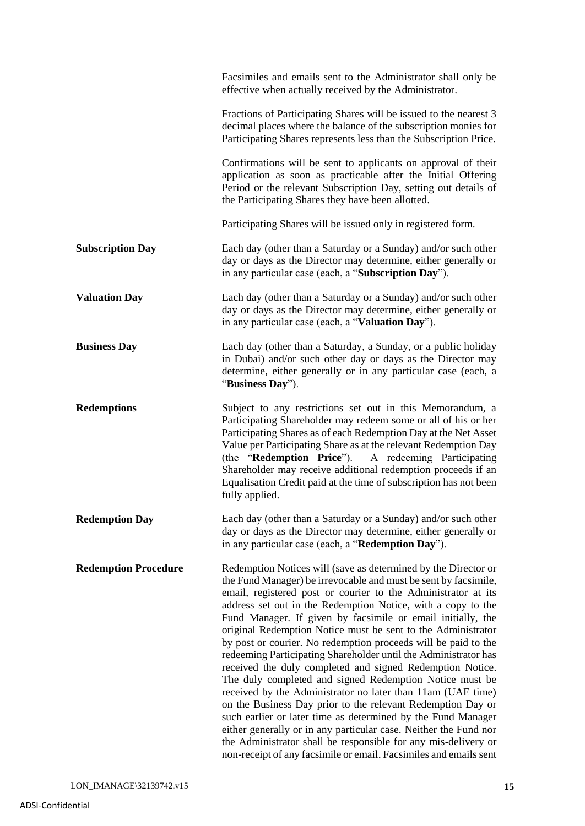|                             | Facsimiles and emails sent to the Administrator shall only be<br>effective when actually received by the Administrator.                                                                                                                                                                                                                                                                                                                                                                                                                                                                                                                                                                                                                                                                                                                                                                                                                                                                                                                                                 |
|-----------------------------|-------------------------------------------------------------------------------------------------------------------------------------------------------------------------------------------------------------------------------------------------------------------------------------------------------------------------------------------------------------------------------------------------------------------------------------------------------------------------------------------------------------------------------------------------------------------------------------------------------------------------------------------------------------------------------------------------------------------------------------------------------------------------------------------------------------------------------------------------------------------------------------------------------------------------------------------------------------------------------------------------------------------------------------------------------------------------|
|                             | Fractions of Participating Shares will be issued to the nearest 3<br>decimal places where the balance of the subscription monies for<br>Participating Shares represents less than the Subscription Price.                                                                                                                                                                                                                                                                                                                                                                                                                                                                                                                                                                                                                                                                                                                                                                                                                                                               |
|                             | Confirmations will be sent to applicants on approval of their<br>application as soon as practicable after the Initial Offering<br>Period or the relevant Subscription Day, setting out details of<br>the Participating Shares they have been allotted.                                                                                                                                                                                                                                                                                                                                                                                                                                                                                                                                                                                                                                                                                                                                                                                                                  |
|                             | Participating Shares will be issued only in registered form.                                                                                                                                                                                                                                                                                                                                                                                                                                                                                                                                                                                                                                                                                                                                                                                                                                                                                                                                                                                                            |
| <b>Subscription Day</b>     | Each day (other than a Saturday or a Sunday) and/or such other<br>day or days as the Director may determine, either generally or<br>in any particular case (each, a "Subscription Day").                                                                                                                                                                                                                                                                                                                                                                                                                                                                                                                                                                                                                                                                                                                                                                                                                                                                                |
| <b>Valuation Day</b>        | Each day (other than a Saturday or a Sunday) and/or such other<br>day or days as the Director may determine, either generally or<br>in any particular case (each, a "Valuation Day").                                                                                                                                                                                                                                                                                                                                                                                                                                                                                                                                                                                                                                                                                                                                                                                                                                                                                   |
| <b>Business Day</b>         | Each day (other than a Saturday, a Sunday, or a public holiday<br>in Dubai) and/or such other day or days as the Director may<br>determine, either generally or in any particular case (each, a<br>"Business Day").                                                                                                                                                                                                                                                                                                                                                                                                                                                                                                                                                                                                                                                                                                                                                                                                                                                     |
| <b>Redemptions</b>          | Subject to any restrictions set out in this Memorandum, a<br>Participating Shareholder may redeem some or all of his or her<br>Participating Shares as of each Redemption Day at the Net Asset<br>Value per Participating Share as at the relevant Redemption Day<br>(the "Redemption Price").<br>A redeeming Participating<br>Shareholder may receive additional redemption proceeds if an<br>Equalisation Credit paid at the time of subscription has not been<br>fully applied.                                                                                                                                                                                                                                                                                                                                                                                                                                                                                                                                                                                      |
| <b>Redemption Day</b>       | Each day (other than a Saturday or a Sunday) and/or such other<br>day or days as the Director may determine, either generally or<br>in any particular case (each, a "Redemption Day").                                                                                                                                                                                                                                                                                                                                                                                                                                                                                                                                                                                                                                                                                                                                                                                                                                                                                  |
| <b>Redemption Procedure</b> | Redemption Notices will (save as determined by the Director or<br>the Fund Manager) be irrevocable and must be sent by facsimile,<br>email, registered post or courier to the Administrator at its<br>address set out in the Redemption Notice, with a copy to the<br>Fund Manager. If given by facsimile or email initially, the<br>original Redemption Notice must be sent to the Administrator<br>by post or courier. No redemption proceeds will be paid to the<br>redeeming Participating Shareholder until the Administrator has<br>received the duly completed and signed Redemption Notice.<br>The duly completed and signed Redemption Notice must be<br>received by the Administrator no later than 11am (UAE time)<br>on the Business Day prior to the relevant Redemption Day or<br>such earlier or later time as determined by the Fund Manager<br>either generally or in any particular case. Neither the Fund nor<br>the Administrator shall be responsible for any mis-delivery or<br>non-receipt of any facsimile or email. Facsimiles and emails sent |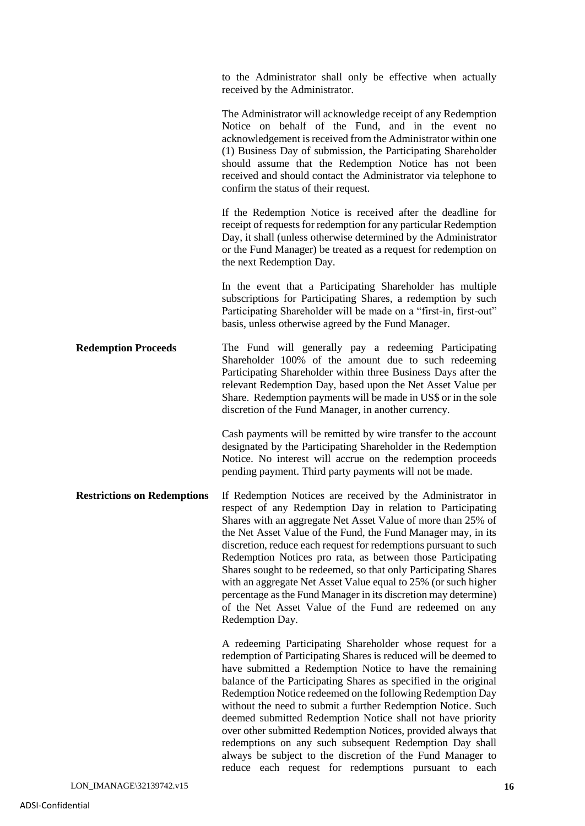to the Administrator shall only be effective when actually received by the Administrator. The Administrator will acknowledge receipt of any Redemption Notice on behalf of the Fund, and in the event no acknowledgement is received from the Administrator within one (1) Business Day of submission, the Participating Shareholder should assume that the Redemption Notice has not been received and should contact the Administrator via telephone to confirm the status of their request. If the Redemption Notice is received after the deadline for receipt of requests for redemption for any particular Redemption Day, it shall (unless otherwise determined by the Administrator or the Fund Manager) be treated as a request for redemption on the next Redemption Day. In the event that a Participating Shareholder has multiple subscriptions for Participating Shares, a redemption by such Participating Shareholder will be made on a "first-in, first-out" basis, unless otherwise agreed by the Fund Manager. **Redemption Proceeds** The Fund will generally pay a redeeming Participating Shareholder 100% of the amount due to such redeeming Participating Shareholder within three Business Days after the relevant Redemption Day, based upon the Net Asset Value per Share. Redemption payments will be made in US\$ or in the sole discretion of the Fund Manager, in another currency. Cash payments will be remitted by wire transfer to the account designated by the Participating Shareholder in the Redemption Notice. No interest will accrue on the redemption proceeds pending payment. Third party payments will not be made. **Restrictions on Redemptions** If Redemption Notices are received by the Administrator in respect of any Redemption Day in relation to Participating Shares with an aggregate Net Asset Value of more than 25% of the Net Asset Value of the Fund, the Fund Manager may, in its discretion, reduce each request for redemptions pursuant to such Redemption Notices pro rata, as between those Participating Shares sought to be redeemed, so that only Participating Shares with an aggregate Net Asset Value equal to 25% (or such higher percentage as the Fund Manager in its discretion may determine) of the Net Asset Value of the Fund are redeemed on any Redemption Day. A redeeming Participating Shareholder whose request for a redemption of Participating Shares is reduced will be deemed to have submitted a Redemption Notice to have the remaining balance of the Participating Shares as specified in the original Redemption Notice redeemed on the following Redemption Day without the need to submit a further Redemption Notice. Such deemed submitted Redemption Notice shall not have priority over other submitted Redemption Notices, provided always that redemptions on any such subsequent Redemption Day shall always be subject to the discretion of the Fund Manager to reduce each request for redemptions pursuant to each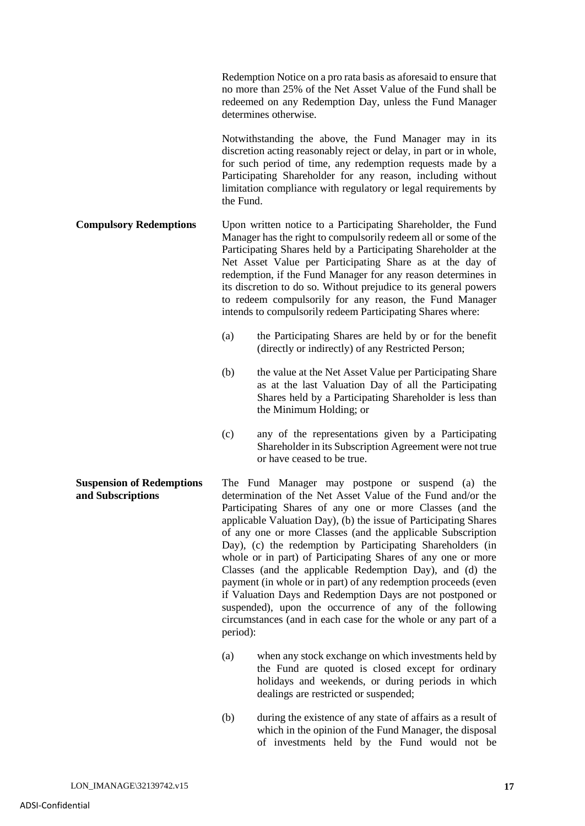Redemption Notice on a pro rata basis as aforesaid to ensure that no more than 25% of the Net Asset Value of the Fund shall be redeemed on any Redemption Day, unless the Fund Manager determines otherwise.

Notwithstanding the above, the Fund Manager may in its discretion acting reasonably reject or delay, in part or in whole, for such period of time, any redemption requests made by a Participating Shareholder for any reason, including without limitation compliance with regulatory or legal requirements by the Fund.

**Compulsory Redemptions** Upon written notice to a Participating Shareholder, the Fund Manager has the right to compulsorily redeem all or some of the Participating Shares held by a Participating Shareholder at the Net Asset Value per Participating Share as at the day of redemption, if the Fund Manager for any reason determines in its discretion to do so. Without prejudice to its general powers to redeem compulsorily for any reason, the Fund Manager intends to compulsorily redeem Participating Shares where:

- (a) the Participating Shares are held by or for the benefit (directly or indirectly) of any Restricted Person;
- (b) the value at the Net Asset Value per Participating Share as at the last Valuation Day of all the Participating Shares held by a Participating Shareholder is less than the Minimum Holding; or
- (c) any of the representations given by a Participating Shareholder in its Subscription Agreement were not true or have ceased to be true.

**Suspension of Redemptions and Subscriptions** The Fund Manager may postpone or suspend (a) the determination of the Net Asset Value of the Fund and/or the Participating Shares of any one or more Classes (and the applicable Valuation Day), (b) the issue of Participating Shares of any one or more Classes (and the applicable Subscription Day), (c) the redemption by Participating Shareholders (in whole or in part) of Participating Shares of any one or more Classes (and the applicable Redemption Day), and (d) the payment (in whole or in part) of any redemption proceeds (even if Valuation Days and Redemption Days are not postponed or suspended), upon the occurrence of any of the following circumstances (and in each case for the whole or any part of a period):

- (a) when any stock exchange on which investments held by the Fund are quoted is closed except for ordinary holidays and weekends, or during periods in which dealings are restricted or suspended;
- (b) during the existence of any state of affairs as a result of which in the opinion of the Fund Manager, the disposal of investments held by the Fund would not be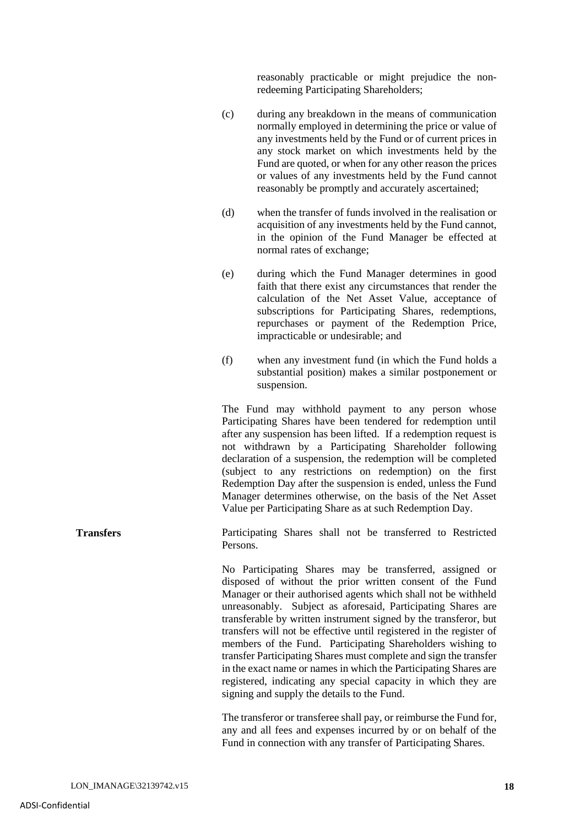reasonably practicable or might prejudice the nonredeeming Participating Shareholders;

- (c) during any breakdown in the means of communication normally employed in determining the price or value of any investments held by the Fund or of current prices in any stock market on which investments held by the Fund are quoted, or when for any other reason the prices or values of any investments held by the Fund cannot reasonably be promptly and accurately ascertained;
- (d) when the transfer of funds involved in the realisation or acquisition of any investments held by the Fund cannot, in the opinion of the Fund Manager be effected at normal rates of exchange;
- (e) during which the Fund Manager determines in good faith that there exist any circumstances that render the calculation of the Net Asset Value, acceptance of subscriptions for Participating Shares, redemptions, repurchases or payment of the Redemption Price, impracticable or undesirable; and
- (f) when any investment fund (in which the Fund holds a substantial position) makes a similar postponement or suspension.

The Fund may withhold payment to any person whose Participating Shares have been tendered for redemption until after any suspension has been lifted. If a redemption request is not withdrawn by a Participating Shareholder following declaration of a suspension, the redemption will be completed (subject to any restrictions on redemption) on the first Redemption Day after the suspension is ended, unless the Fund Manager determines otherwise, on the basis of the Net Asset Value per Participating Share as at such Redemption Day.

**Transfers Participating Shares shall not be transferred to Restricted** Persons.

> No Participating Shares may be transferred, assigned or disposed of without the prior written consent of the Fund Manager or their authorised agents which shall not be withheld unreasonably. Subject as aforesaid, Participating Shares are transferable by written instrument signed by the transferor, but transfers will not be effective until registered in the register of members of the Fund. Participating Shareholders wishing to transfer Participating Shares must complete and sign the transfer in the exact name or names in which the Participating Shares are registered, indicating any special capacity in which they are signing and supply the details to the Fund.

> The transferor or transferee shall pay, or reimburse the Fund for, any and all fees and expenses incurred by or on behalf of the Fund in connection with any transfer of Participating Shares.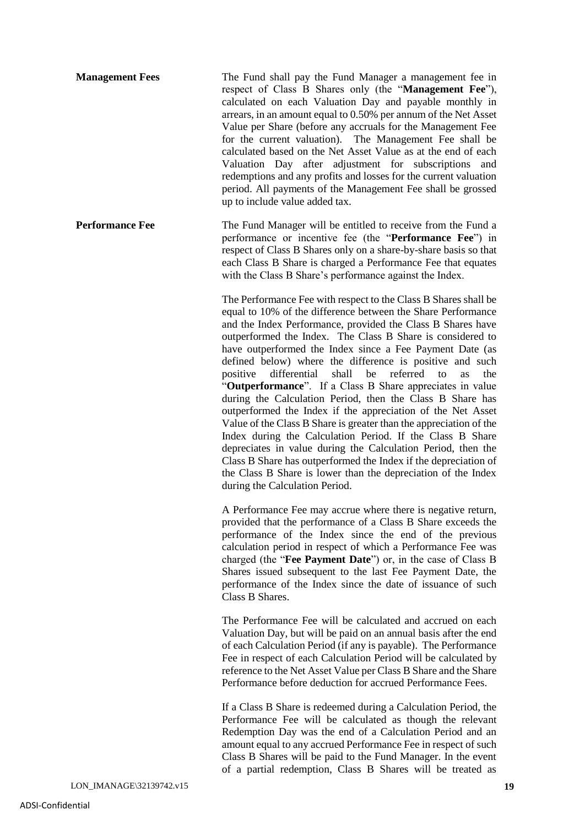**Management Fees** The Fund shall pay the Fund Manager a management fee in respect of Class B Shares only (the "**Management Fee**"), calculated on each Valuation Day and payable monthly in arrears, in an amount equal to 0.50% per annum of the Net Asset Value per Share (before any accruals for the Management Fee for the current valuation). The Management Fee shall be calculated based on the Net Asset Value as at the end of each Valuation Day after adjustment for subscriptions and redemptions and any profits and losses for the current valuation period. All payments of the Management Fee shall be grossed up to include value added tax.

**Performance Fee** The Fund Manager will be entitled to receive from the Fund a performance or incentive fee (the "**Performance Fee**") in respect of Class B Shares only on a share-by-share basis so that each Class B Share is charged a Performance Fee that equates with the Class B Share's performance against the Index.

> The Performance Fee with respect to the Class B Shares shall be equal to 10% of the difference between the Share Performance and the Index Performance, provided the Class B Shares have outperformed the Index. The Class B Share is considered to have outperformed the Index since a Fee Payment Date (as defined below) where the difference is positive and such positive differential shall be referred to as the "**Outperformance**". If a Class B Share appreciates in value during the Calculation Period, then the Class B Share has outperformed the Index if the appreciation of the Net Asset Value of the Class B Share is greater than the appreciation of the Index during the Calculation Period. If the Class B Share depreciates in value during the Calculation Period, then the Class B Share has outperformed the Index if the depreciation of the Class B Share is lower than the depreciation of the Index during the Calculation Period.

> A Performance Fee may accrue where there is negative return, provided that the performance of a Class B Share exceeds the performance of the Index since the end of the previous calculation period in respect of which a Performance Fee was charged (the "**Fee Payment Date**") or, in the case of Class B Shares issued subsequent to the last Fee Payment Date, the performance of the Index since the date of issuance of such Class B Shares.

> The Performance Fee will be calculated and accrued on each Valuation Day, but will be paid on an annual basis after the end of each Calculation Period (if any is payable). The Performance Fee in respect of each Calculation Period will be calculated by reference to the Net Asset Value per Class B Share and the Share Performance before deduction for accrued Performance Fees.

> If a Class B Share is redeemed during a Calculation Period, the Performance Fee will be calculated as though the relevant Redemption Day was the end of a Calculation Period and an amount equal to any accrued Performance Fee in respect of such Class B Shares will be paid to the Fund Manager. In the event of a partial redemption, Class B Shares will be treated as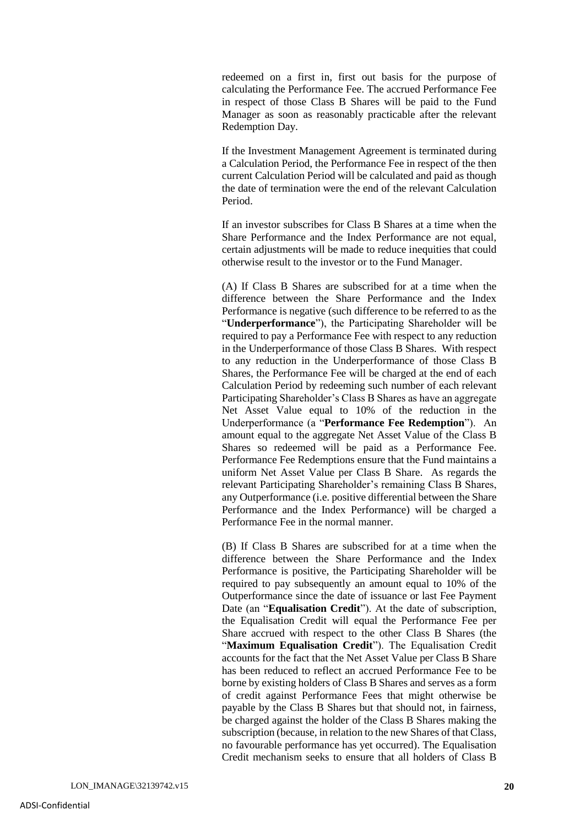redeemed on a first in, first out basis for the purpose of calculating the Performance Fee. The accrued Performance Fee in respect of those Class B Shares will be paid to the Fund Manager as soon as reasonably practicable after the relevant Redemption Day.

If the Investment Management Agreement is terminated during a Calculation Period, the Performance Fee in respect of the then current Calculation Period will be calculated and paid as though the date of termination were the end of the relevant Calculation Period.

If an investor subscribes for Class B Shares at a time when the Share Performance and the Index Performance are not equal, certain adjustments will be made to reduce inequities that could otherwise result to the investor or to the Fund Manager.

(A) If Class B Shares are subscribed for at a time when the difference between the Share Performance and the Index Performance is negative (such difference to be referred to as the "**Underperformance**"), the Participating Shareholder will be required to pay a Performance Fee with respect to any reduction in the Underperformance of those Class B Shares. With respect to any reduction in the Underperformance of those Class B Shares, the Performance Fee will be charged at the end of each Calculation Period by redeeming such number of each relevant Participating Shareholder's Class B Shares as have an aggregate Net Asset Value equal to 10% of the reduction in the Underperformance (a "**Performance Fee Redemption**"). An amount equal to the aggregate Net Asset Value of the Class B Shares so redeemed will be paid as a Performance Fee. Performance Fee Redemptions ensure that the Fund maintains a uniform Net Asset Value per Class B Share. As regards the relevant Participating Shareholder's remaining Class B Shares, any Outperformance (i.e. positive differential between the Share Performance and the Index Performance) will be charged a Performance Fee in the normal manner.

(B) If Class B Shares are subscribed for at a time when the difference between the Share Performance and the Index Performance is positive, the Participating Shareholder will be required to pay subsequently an amount equal to 10% of the Outperformance since the date of issuance or last Fee Payment Date (an "**Equalisation Credit**"). At the date of subscription, the Equalisation Credit will equal the Performance Fee per Share accrued with respect to the other Class B Shares (the "**Maximum Equalisation Credit**"). The Equalisation Credit accounts for the fact that the Net Asset Value per Class B Share has been reduced to reflect an accrued Performance Fee to be borne by existing holders of Class B Shares and serves as a form of credit against Performance Fees that might otherwise be payable by the Class B Shares but that should not, in fairness, be charged against the holder of the Class B Shares making the subscription (because, in relation to the new Shares of that Class, no favourable performance has yet occurred). The Equalisation Credit mechanism seeks to ensure that all holders of Class B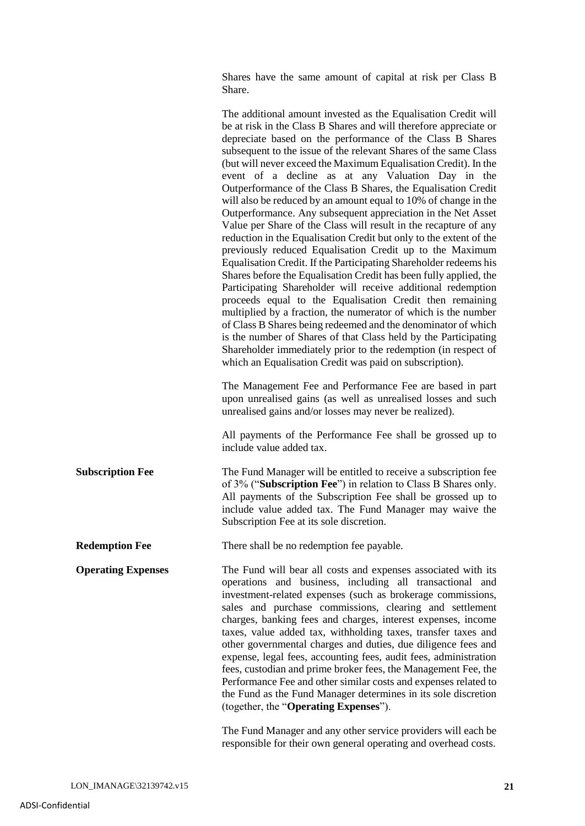Shares have the same amount of capital at risk per Class B Share.

|                           | The additional amount invested as the Equalisation Credit will<br>be at risk in the Class B Shares and will therefore appreciate or<br>depreciate based on the performance of the Class B Shares<br>subsequent to the issue of the relevant Shares of the same Class<br>(but will never exceed the Maximum Equalisation Credit). In the<br>event of a decline as at any Valuation Day in the<br>Outperformance of the Class B Shares, the Equalisation Credit<br>will also be reduced by an amount equal to 10% of change in the<br>Outperformance. Any subsequent appreciation in the Net Asset<br>Value per Share of the Class will result in the recapture of any<br>reduction in the Equalisation Credit but only to the extent of the<br>previously reduced Equalisation Credit up to the Maximum<br>Equalisation Credit. If the Participating Shareholder redeems his<br>Shares before the Equalisation Credit has been fully applied, the<br>Participating Shareholder will receive additional redemption<br>proceeds equal to the Equalisation Credit then remaining<br>multiplied by a fraction, the numerator of which is the number<br>of Class B Shares being redeemed and the denominator of which<br>is the number of Shares of that Class held by the Participating<br>Shareholder immediately prior to the redemption (in respect of<br>which an Equalisation Credit was paid on subscription).<br>The Management Fee and Performance Fee are based in part<br>upon unrealised gains (as well as unrealised losses and such<br>unrealised gains and/or losses may never be realized).<br>All payments of the Performance Fee shall be grossed up to |
|---------------------------|---------------------------------------------------------------------------------------------------------------------------------------------------------------------------------------------------------------------------------------------------------------------------------------------------------------------------------------------------------------------------------------------------------------------------------------------------------------------------------------------------------------------------------------------------------------------------------------------------------------------------------------------------------------------------------------------------------------------------------------------------------------------------------------------------------------------------------------------------------------------------------------------------------------------------------------------------------------------------------------------------------------------------------------------------------------------------------------------------------------------------------------------------------------------------------------------------------------------------------------------------------------------------------------------------------------------------------------------------------------------------------------------------------------------------------------------------------------------------------------------------------------------------------------------------------------------------------------------------------------------------------------------------------------------|
| <b>Subscription Fee</b>   | include value added tax.<br>The Fund Manager will be entitled to receive a subscription fee<br>of 3% ("Subscription Fee") in relation to Class B Shares only.<br>All payments of the Subscription Fee shall be grossed up to<br>include value added tax. The Fund Manager may waive the                                                                                                                                                                                                                                                                                                                                                                                                                                                                                                                                                                                                                                                                                                                                                                                                                                                                                                                                                                                                                                                                                                                                                                                                                                                                                                                                                                             |
| <b>Redemption Fee</b>     | Subscription Fee at its sole discretion.<br>There shall be no redemption fee payable.                                                                                                                                                                                                                                                                                                                                                                                                                                                                                                                                                                                                                                                                                                                                                                                                                                                                                                                                                                                                                                                                                                                                                                                                                                                                                                                                                                                                                                                                                                                                                                               |
| <b>Operating Expenses</b> | The Fund will bear all costs and expenses associated with its<br>operations and business, including all transactional and<br>investment-related expenses (such as brokerage commissions,<br>sales and purchase commissions, clearing and settlement<br>charges, banking fees and charges, interest expenses, income<br>taxes, value added tax, withholding taxes, transfer taxes and<br>other governmental charges and duties, due diligence fees and<br>expense, legal fees, accounting fees, audit fees, administration<br>fees, custodian and prime broker fees, the Management Fee, the<br>Performance Fee and other similar costs and expenses related to<br>the Fund as the Fund Manager determines in its sole discretion<br>(together, the "Operating Expenses").                                                                                                                                                                                                                                                                                                                                                                                                                                                                                                                                                                                                                                                                                                                                                                                                                                                                                           |

The Fund Manager and any other service providers will each be responsible for their own general operating and overhead costs.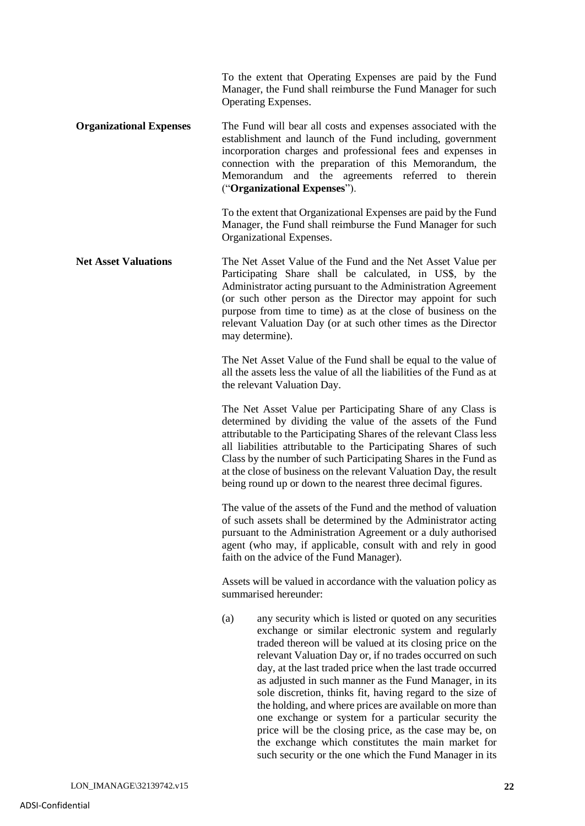To the extent that Operating Expenses are paid by the Fund Manager, the Fund shall reimburse the Fund Manager for such Operating Expenses.

**Organizational Expenses** The Fund will bear all costs and expenses associated with the establishment and launch of the Fund including, government incorporation charges and professional fees and expenses in connection with the preparation of this Memorandum, the Memorandum and the agreements referred to therein ("**Organizational Expenses**").

> To the extent that Organizational Expenses are paid by the Fund Manager, the Fund shall reimburse the Fund Manager for such Organizational Expenses.

**Net Asset Valuations** The Net Asset Value of the Fund and the Net Asset Value per Participating Share shall be calculated, in US\$, by the Administrator acting pursuant to the Administration Agreement (or such other person as the Director may appoint for such purpose from time to time) as at the close of business on the relevant Valuation Day (or at such other times as the Director may determine).

> The Net Asset Value of the Fund shall be equal to the value of all the assets less the value of all the liabilities of the Fund as at the relevant Valuation Day.

> The Net Asset Value per Participating Share of any Class is determined by dividing the value of the assets of the Fund attributable to the Participating Shares of the relevant Class less all liabilities attributable to the Participating Shares of such Class by the number of such Participating Shares in the Fund as at the close of business on the relevant Valuation Day, the result being round up or down to the nearest three decimal figures.

> The value of the assets of the Fund and the method of valuation of such assets shall be determined by the Administrator acting pursuant to the Administration Agreement or a duly authorised agent (who may, if applicable, consult with and rely in good faith on the advice of the Fund Manager).

> Assets will be valued in accordance with the valuation policy as summarised hereunder:

> (a) any security which is listed or quoted on any securities exchange or similar electronic system and regularly traded thereon will be valued at its closing price on the relevant Valuation Day or, if no trades occurred on such day, at the last traded price when the last trade occurred as adjusted in such manner as the Fund Manager, in its sole discretion, thinks fit, having regard to the size of the holding, and where prices are available on more than one exchange or system for a particular security the price will be the closing price, as the case may be, on the exchange which constitutes the main market for such security or the one which the Fund Manager in its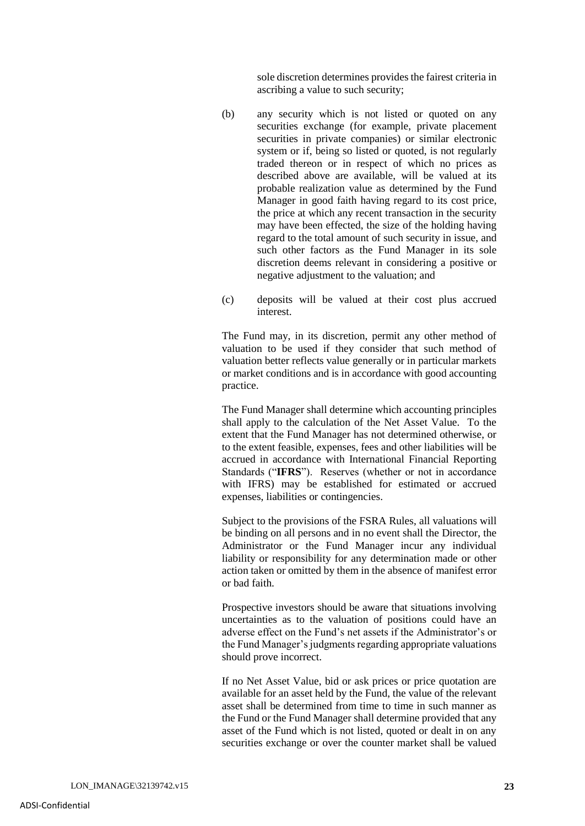sole discretion determines provides the fairest criteria in ascribing a value to such security;

- (b) any security which is not listed or quoted on any securities exchange (for example, private placement securities in private companies) or similar electronic system or if, being so listed or quoted, is not regularly traded thereon or in respect of which no prices as described above are available, will be valued at its probable realization value as determined by the Fund Manager in good faith having regard to its cost price, the price at which any recent transaction in the security may have been effected, the size of the holding having regard to the total amount of such security in issue, and such other factors as the Fund Manager in its sole discretion deems relevant in considering a positive or negative adjustment to the valuation; and
- (c) deposits will be valued at their cost plus accrued interest.

The Fund may, in its discretion, permit any other method of valuation to be used if they consider that such method of valuation better reflects value generally or in particular markets or market conditions and is in accordance with good accounting practice.

The Fund Manager shall determine which accounting principles shall apply to the calculation of the Net Asset Value. To the extent that the Fund Manager has not determined otherwise, or to the extent feasible, expenses, fees and other liabilities will be accrued in accordance with International Financial Reporting Standards ("**IFRS**"). Reserves (whether or not in accordance with IFRS) may be established for estimated or accrued expenses, liabilities or contingencies.

Subject to the provisions of the FSRA Rules, all valuations will be binding on all persons and in no event shall the Director, the Administrator or the Fund Manager incur any individual liability or responsibility for any determination made or other action taken or omitted by them in the absence of manifest error or bad faith.

Prospective investors should be aware that situations involving uncertainties as to the valuation of positions could have an adverse effect on the Fund's net assets if the Administrator's or the Fund Manager's judgments regarding appropriate valuations should prove incorrect.

If no Net Asset Value, bid or ask prices or price quotation are available for an asset held by the Fund, the value of the relevant asset shall be determined from time to time in such manner as the Fund or the Fund Manager shall determine provided that any asset of the Fund which is not listed, quoted or dealt in on any securities exchange or over the counter market shall be valued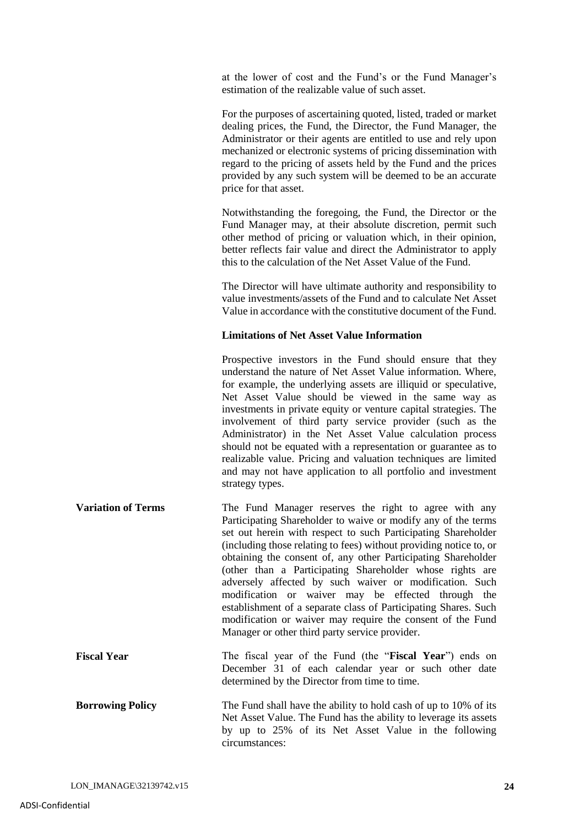at the lower of cost and the Fund's or the Fund Manager's estimation of the realizable value of such asset.

For the purposes of ascertaining quoted, listed, traded or market dealing prices, the Fund, the Director, the Fund Manager, the Administrator or their agents are entitled to use and rely upon mechanized or electronic systems of pricing dissemination with regard to the pricing of assets held by the Fund and the prices provided by any such system will be deemed to be an accurate price for that asset.

Notwithstanding the foregoing, the Fund, the Director or the Fund Manager may, at their absolute discretion, permit such other method of pricing or valuation which, in their opinion, better reflects fair value and direct the Administrator to apply this to the calculation of the Net Asset Value of the Fund.

The Director will have ultimate authority and responsibility to value investments/assets of the Fund and to calculate Net Asset Value in accordance with the constitutive document of the Fund.

#### **Limitations of Net Asset Value Information**

Prospective investors in the Fund should ensure that they understand the nature of Net Asset Value information. Where, for example, the underlying assets are illiquid or speculative, Net Asset Value should be viewed in the same way as investments in private equity or venture capital strategies. The involvement of third party service provider (such as the Administrator) in the Net Asset Value calculation process should not be equated with a representation or guarantee as to realizable value. Pricing and valuation techniques are limited and may not have application to all portfolio and investment strategy types.

- **Variation of Terms** The Fund Manager reserves the right to agree with any Participating Shareholder to waive or modify any of the terms set out herein with respect to such Participating Shareholder (including those relating to fees) without providing notice to, or obtaining the consent of, any other Participating Shareholder (other than a Participating Shareholder whose rights are adversely affected by such waiver or modification. Such modification or waiver may be effected through the establishment of a separate class of Participating Shares. Such modification or waiver may require the consent of the Fund Manager or other third party service provider.
- **Fiscal Year** The fiscal year of the Fund (the "**Fiscal Year**") ends on December 31 of each calendar year or such other date determined by the Director from time to time.
- **Borrowing Policy** The Fund shall have the ability to hold cash of up to 10% of its Net Asset Value. The Fund has the ability to leverage its assets by up to 25% of its Net Asset Value in the following circumstances: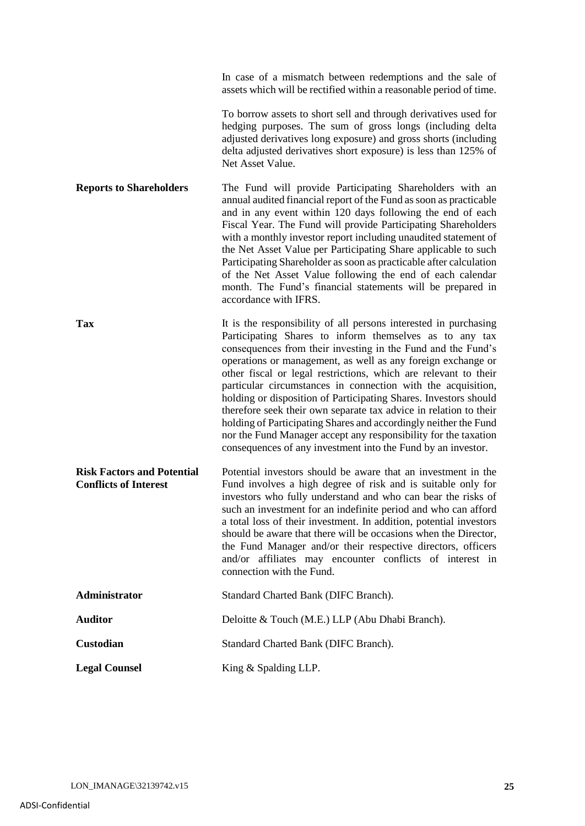|                                                                   | To borrow assets to short sell and through derivatives used for<br>hedging purposes. The sum of gross longs (including delta<br>adjusted derivatives long exposure) and gross shorts (including<br>delta adjusted derivatives short exposure) is less than 125% of<br>Net Asset Value.                                                                                                                                                                                                                                                                                                                                                                                                                                                         |
|-------------------------------------------------------------------|------------------------------------------------------------------------------------------------------------------------------------------------------------------------------------------------------------------------------------------------------------------------------------------------------------------------------------------------------------------------------------------------------------------------------------------------------------------------------------------------------------------------------------------------------------------------------------------------------------------------------------------------------------------------------------------------------------------------------------------------|
| <b>Reports to Shareholders</b>                                    | The Fund will provide Participating Shareholders with an<br>annual audited financial report of the Fund as soon as practicable<br>and in any event within 120 days following the end of each<br>Fiscal Year. The Fund will provide Participating Shareholders<br>with a monthly investor report including unaudited statement of<br>the Net Asset Value per Participating Share applicable to such<br>Participating Shareholder as soon as practicable after calculation<br>of the Net Asset Value following the end of each calendar<br>month. The Fund's financial statements will be prepared in<br>accordance with IFRS.                                                                                                                   |
| <b>Tax</b>                                                        | It is the responsibility of all persons interested in purchasing<br>Participating Shares to inform themselves as to any tax<br>consequences from their investing in the Fund and the Fund's<br>operations or management, as well as any foreign exchange or<br>other fiscal or legal restrictions, which are relevant to their<br>particular circumstances in connection with the acquisition,<br>holding or disposition of Participating Shares. Investors should<br>therefore seek their own separate tax advice in relation to their<br>holding of Participating Shares and accordingly neither the Fund<br>nor the Fund Manager accept any responsibility for the taxation<br>consequences of any investment into the Fund by an investor. |
| <b>Risk Factors and Potential</b><br><b>Conflicts of Interest</b> | Potential investors should be aware that an investment in the<br>Fund involves a high degree of risk and is suitable only for<br>investors who fully understand and who can bear the risks of<br>such an investment for an indefinite period and who can afford<br>a total loss of their investment. In addition, potential investors<br>should be aware that there will be occasions when the Director,<br>the Fund Manager and/or their respective directors, officers<br>and/or affiliates may encounter conflicts of interest in<br>connection with the Fund.                                                                                                                                                                              |
| Administrator                                                     | Standard Charted Bank (DIFC Branch).                                                                                                                                                                                                                                                                                                                                                                                                                                                                                                                                                                                                                                                                                                           |
| <b>Auditor</b>                                                    | Deloitte & Touch (M.E.) LLP (Abu Dhabi Branch).                                                                                                                                                                                                                                                                                                                                                                                                                                                                                                                                                                                                                                                                                                |
| Custodian                                                         | Standard Charted Bank (DIFC Branch).                                                                                                                                                                                                                                                                                                                                                                                                                                                                                                                                                                                                                                                                                                           |
| <b>Legal Counsel</b>                                              | King & Spalding LLP.                                                                                                                                                                                                                                                                                                                                                                                                                                                                                                                                                                                                                                                                                                                           |

In case of a mismatch between redemptions and the sale of assets which will be rectified within a reasonable period of time.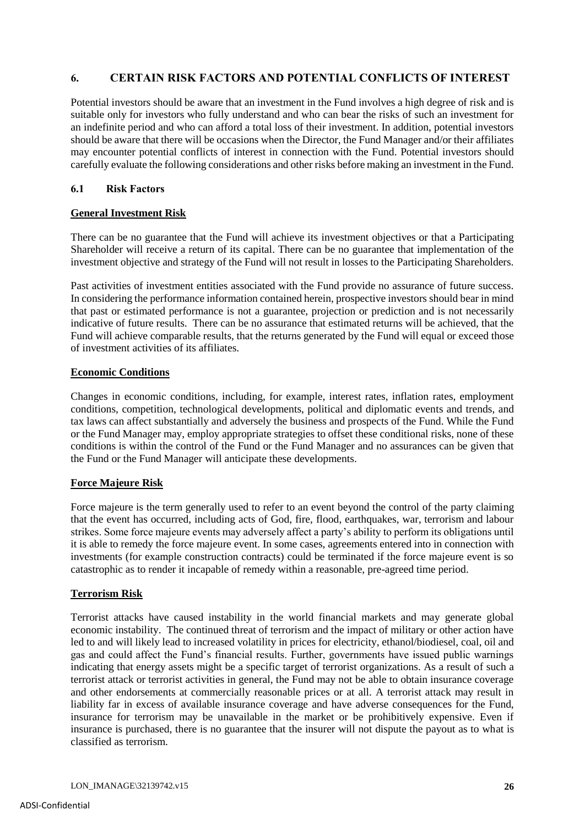# **6. CERTAIN RISK FACTORS AND POTENTIAL CONFLICTS OF INTEREST**

Potential investors should be aware that an investment in the Fund involves a high degree of risk and is suitable only for investors who fully understand and who can bear the risks of such an investment for an indefinite period and who can afford a total loss of their investment. In addition, potential investors should be aware that there will be occasions when the Director, the Fund Manager and/or their affiliates may encounter potential conflicts of interest in connection with the Fund. Potential investors should carefully evaluate the following considerations and other risks before making an investment in the Fund.

## **6.1 Risk Factors**

## **General Investment Risk**

There can be no guarantee that the Fund will achieve its investment objectives or that a Participating Shareholder will receive a return of its capital. There can be no guarantee that implementation of the investment objective and strategy of the Fund will not result in losses to the Participating Shareholders.

Past activities of investment entities associated with the Fund provide no assurance of future success. In considering the performance information contained herein, prospective investors should bear in mind that past or estimated performance is not a guarantee, projection or prediction and is not necessarily indicative of future results. There can be no assurance that estimated returns will be achieved, that the Fund will achieve comparable results, that the returns generated by the Fund will equal or exceed those of investment activities of its affiliates.

## **Economic Conditions**

Changes in economic conditions, including, for example, interest rates, inflation rates, employment conditions, competition, technological developments, political and diplomatic events and trends, and tax laws can affect substantially and adversely the business and prospects of the Fund. While the Fund or the Fund Manager may, employ appropriate strategies to offset these conditional risks, none of these conditions is within the control of the Fund or the Fund Manager and no assurances can be given that the Fund or the Fund Manager will anticipate these developments.

# **Force Majeure Risk**

Force majeure is the term generally used to refer to an event beyond the control of the party claiming that the event has occurred, including acts of God, fire, flood, earthquakes, war, terrorism and labour strikes. Some force majeure events may adversely affect a party's ability to perform its obligations until it is able to remedy the force majeure event. In some cases, agreements entered into in connection with investments (for example construction contracts) could be terminated if the force majeure event is so catastrophic as to render it incapable of remedy within a reasonable, pre-agreed time period.

## **Terrorism Risk**

Terrorist attacks have caused instability in the world financial markets and may generate global economic instability. The continued threat of terrorism and the impact of military or other action have led to and will likely lead to increased volatility in prices for electricity, ethanol/biodiesel, coal, oil and gas and could affect the Fund's financial results. Further, governments have issued public warnings indicating that energy assets might be a specific target of terrorist organizations. As a result of such a terrorist attack or terrorist activities in general, the Fund may not be able to obtain insurance coverage and other endorsements at commercially reasonable prices or at all. A terrorist attack may result in liability far in excess of available insurance coverage and have adverse consequences for the Fund, insurance for terrorism may be unavailable in the market or be prohibitively expensive. Even if insurance is purchased, there is no guarantee that the insurer will not dispute the payout as to what is classified as terrorism.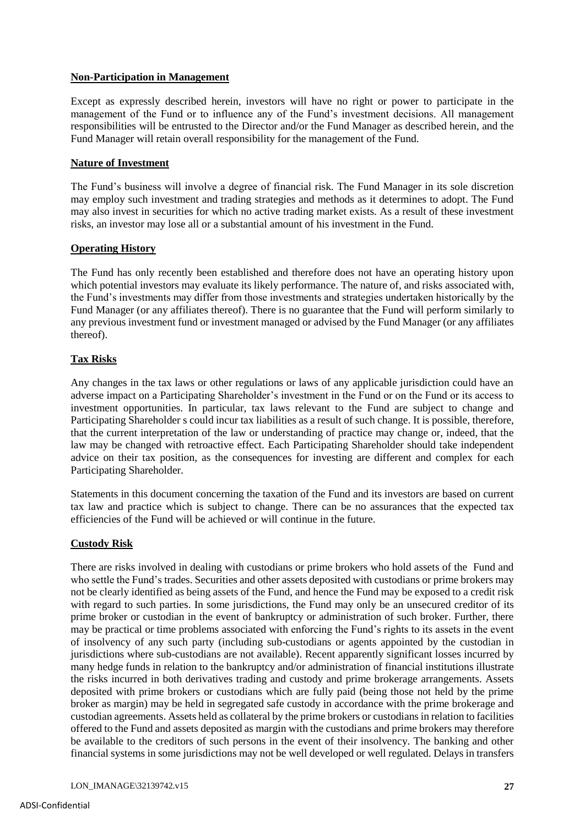## **Non-Participation in Management**

Except as expressly described herein, investors will have no right or power to participate in the management of the Fund or to influence any of the Fund's investment decisions. All management responsibilities will be entrusted to the Director and/or the Fund Manager as described herein, and the Fund Manager will retain overall responsibility for the management of the Fund.

## **Nature of Investment**

The Fund's business will involve a degree of financial risk. The Fund Manager in its sole discretion may employ such investment and trading strategies and methods as it determines to adopt. The Fund may also invest in securities for which no active trading market exists. As a result of these investment risks, an investor may lose all or a substantial amount of his investment in the Fund.

## **Operating History**

The Fund has only recently been established and therefore does not have an operating history upon which potential investors may evaluate its likely performance. The nature of, and risks associated with, the Fund's investments may differ from those investments and strategies undertaken historically by the Fund Manager (or any affiliates thereof). There is no guarantee that the Fund will perform similarly to any previous investment fund or investment managed or advised by the Fund Manager (or any affiliates thereof).

# **Tax Risks**

Any changes in the tax laws or other regulations or laws of any applicable jurisdiction could have an adverse impact on a Participating Shareholder's investment in the Fund or on the Fund or its access to investment opportunities. In particular, tax laws relevant to the Fund are subject to change and Participating Shareholder s could incur tax liabilities as a result of such change. It is possible, therefore, that the current interpretation of the law or understanding of practice may change or, indeed, that the law may be changed with retroactive effect. Each Participating Shareholder should take independent advice on their tax position, as the consequences for investing are different and complex for each Participating Shareholder.

Statements in this document concerning the taxation of the Fund and its investors are based on current tax law and practice which is subject to change. There can be no assurances that the expected tax efficiencies of the Fund will be achieved or will continue in the future.

# **Custody Risk**

There are risks involved in dealing with custodians or prime brokers who hold assets of the Fund and who settle the Fund's trades. Securities and other assets deposited with custodians or prime brokers may not be clearly identified as being assets of the Fund, and hence the Fund may be exposed to a credit risk with regard to such parties. In some jurisdictions, the Fund may only be an unsecured creditor of its prime broker or custodian in the event of bankruptcy or administration of such broker. Further, there may be practical or time problems associated with enforcing the Fund's rights to its assets in the event of insolvency of any such party (including sub-custodians or agents appointed by the custodian in jurisdictions where sub-custodians are not available). Recent apparently significant losses incurred by many hedge funds in relation to the bankruptcy and/or administration of financial institutions illustrate the risks incurred in both derivatives trading and custody and prime brokerage arrangements. Assets deposited with prime brokers or custodians which are fully paid (being those not held by the prime broker as margin) may be held in segregated safe custody in accordance with the prime brokerage and custodian agreements. Assets held as collateral by the prime brokers or custodians in relation to facilities offered to the Fund and assets deposited as margin with the custodians and prime brokers may therefore be available to the creditors of such persons in the event of their insolvency. The banking and other financial systems in some jurisdictions may not be well developed or well regulated. Delays in transfers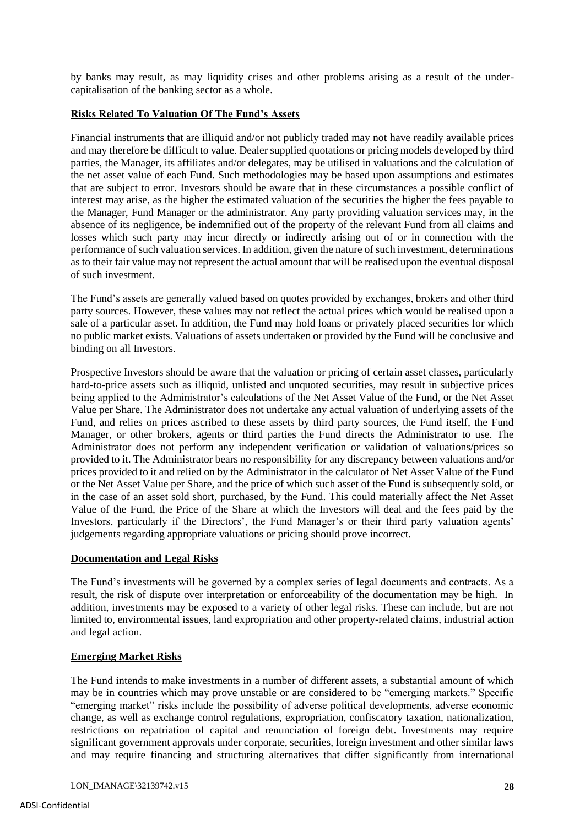by banks may result, as may liquidity crises and other problems arising as a result of the undercapitalisation of the banking sector as a whole.

## **Risks Related To Valuation Of The Fund's Assets**

Financial instruments that are illiquid and/or not publicly traded may not have readily available prices and may therefore be difficult to value. Dealer supplied quotations or pricing models developed by third parties, the Manager, its affiliates and/or delegates, may be utilised in valuations and the calculation of the net asset value of each Fund. Such methodologies may be based upon assumptions and estimates that are subject to error. Investors should be aware that in these circumstances a possible conflict of interest may arise, as the higher the estimated valuation of the securities the higher the fees payable to the Manager, Fund Manager or the administrator. Any party providing valuation services may, in the absence of its negligence, be indemnified out of the property of the relevant Fund from all claims and losses which such party may incur directly or indirectly arising out of or in connection with the performance of such valuation services. In addition, given the nature of such investment, determinations as to their fair value may not represent the actual amount that will be realised upon the eventual disposal of such investment.

The Fund's assets are generally valued based on quotes provided by exchanges, brokers and other third party sources. However, these values may not reflect the actual prices which would be realised upon a sale of a particular asset. In addition, the Fund may hold loans or privately placed securities for which no public market exists. Valuations of assets undertaken or provided by the Fund will be conclusive and binding on all Investors.

Prospective Investors should be aware that the valuation or pricing of certain asset classes, particularly hard-to-price assets such as illiquid, unlisted and unquoted securities, may result in subjective prices being applied to the Administrator's calculations of the Net Asset Value of the Fund, or the Net Asset Value per Share. The Administrator does not undertake any actual valuation of underlying assets of the Fund, and relies on prices ascribed to these assets by third party sources, the Fund itself, the Fund Manager, or other brokers, agents or third parties the Fund directs the Administrator to use. The Administrator does not perform any independent verification or validation of valuations/prices so provided to it. The Administrator bears no responsibility for any discrepancy between valuations and/or prices provided to it and relied on by the Administrator in the calculator of Net Asset Value of the Fund or the Net Asset Value per Share, and the price of which such asset of the Fund is subsequently sold, or in the case of an asset sold short, purchased, by the Fund. This could materially affect the Net Asset Value of the Fund, the Price of the Share at which the Investors will deal and the fees paid by the Investors, particularly if the Directors', the Fund Manager's or their third party valuation agents' judgements regarding appropriate valuations or pricing should prove incorrect.

## **Documentation and Legal Risks**

The Fund's investments will be governed by a complex series of legal documents and contracts. As a result, the risk of dispute over interpretation or enforceability of the documentation may be high. In addition, investments may be exposed to a variety of other legal risks. These can include, but are not limited to, environmental issues, land expropriation and other property-related claims, industrial action and legal action.

## **Emerging Market Risks**

The Fund intends to make investments in a number of different assets, a substantial amount of which may be in countries which may prove unstable or are considered to be "emerging markets." Specific "emerging market" risks include the possibility of adverse political developments, adverse economic change, as well as exchange control regulations, expropriation, confiscatory taxation, nationalization, restrictions on repatriation of capital and renunciation of foreign debt. Investments may require significant government approvals under corporate, securities, foreign investment and other similar laws and may require financing and structuring alternatives that differ significantly from international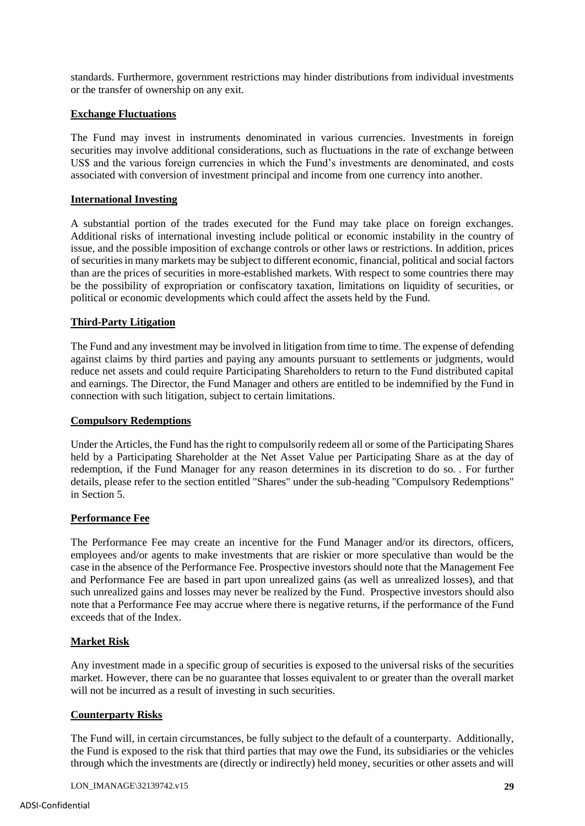standards. Furthermore, government restrictions may hinder distributions from individual investments or the transfer of ownership on any exit.

## **Exchange Fluctuations**

The Fund may invest in instruments denominated in various currencies. Investments in foreign securities may involve additional considerations, such as fluctuations in the rate of exchange between US\$ and the various foreign currencies in which the Fund's investments are denominated, and costs associated with conversion of investment principal and income from one currency into another.

## **International Investing**

A substantial portion of the trades executed for the Fund may take place on foreign exchanges. Additional risks of international investing include political or economic instability in the country of issue, and the possible imposition of exchange controls or other laws or restrictions. In addition, prices of securities in many markets may be subject to different economic, financial, political and social factors than are the prices of securities in more-established markets. With respect to some countries there may be the possibility of expropriation or confiscatory taxation, limitations on liquidity of securities, or political or economic developments which could affect the assets held by the Fund.

## **Third-Party Litigation**

The Fund and any investment may be involved in litigation from time to time. The expense of defending against claims by third parties and paying any amounts pursuant to settlements or judgments, would reduce net assets and could require Participating Shareholders to return to the Fund distributed capital and earnings. The Director, the Fund Manager and others are entitled to be indemnified by the Fund in connection with such litigation, subject to certain limitations.

## **Compulsory Redemptions**

Under the Articles, the Fund has the right to compulsorily redeem all or some of the Participating Shares held by a Participating Shareholder at the Net Asset Value per Participating Share as at the day of redemption, if the Fund Manager for any reason determines in its discretion to do so. . For further details, please refer to the section entitled "Shares" under the sub-heading "Compulsory Redemptions" in Section 5.

## **Performance Fee**

The Performance Fee may create an incentive for the Fund Manager and/or its directors, officers, employees and/or agents to make investments that are riskier or more speculative than would be the case in the absence of the Performance Fee. Prospective investors should note that the Management Fee and Performance Fee are based in part upon unrealized gains (as well as unrealized losses), and that such unrealized gains and losses may never be realized by the Fund. Prospective investors should also note that a Performance Fee may accrue where there is negative returns, if the performance of the Fund exceeds that of the Index.

# **Market Risk**

Any investment made in a specific group of securities is exposed to the universal risks of the securities market. However, there can be no guarantee that losses equivalent to or greater than the overall market will not be incurred as a result of investing in such securities.

## **Counterparty Risks**

The Fund will, in certain circumstances, be fully subject to the default of a counterparty. Additionally, the Fund is exposed to the risk that third parties that may owe the Fund, its subsidiaries or the vehicles through which the investments are (directly or indirectly) held money, securities or other assets and will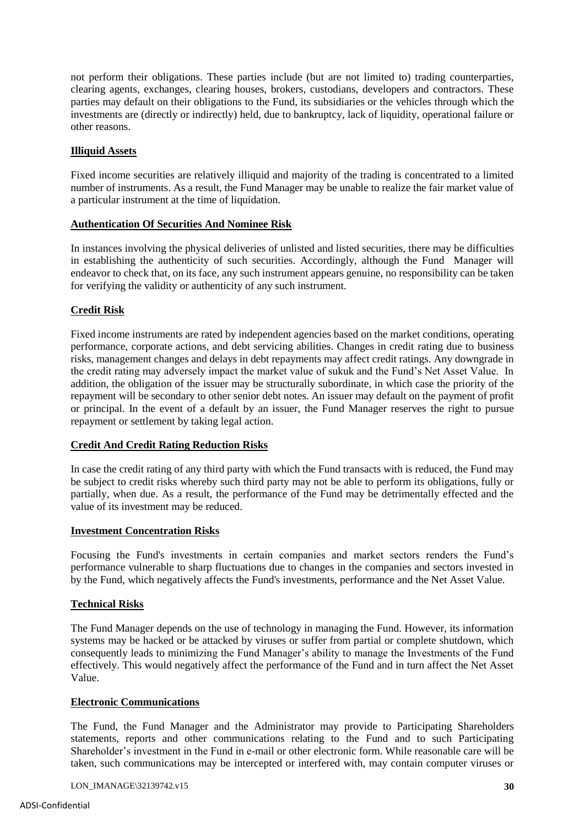not perform their obligations. These parties include (but are not limited to) trading counterparties, clearing agents, exchanges, clearing houses, brokers, custodians, developers and contractors. These parties may default on their obligations to the Fund, its subsidiaries or the vehicles through which the investments are (directly or indirectly) held, due to bankruptcy, lack of liquidity, operational failure or other reasons.

## **Illiquid Assets**

Fixed income securities are relatively illiquid and majority of the trading is concentrated to a limited number of instruments. As a result, the Fund Manager may be unable to realize the fair market value of a particular instrument at the time of liquidation.

#### **Authentication Of Securities And Nominee Risk**

In instances involving the physical deliveries of unlisted and listed securities, there may be difficulties in establishing the authenticity of such securities. Accordingly, although the Fund Manager will endeavor to check that, on its face, any such instrument appears genuine, no responsibility can be taken for verifying the validity or authenticity of any such instrument.

## **Credit Risk**

Fixed income instruments are rated by independent agencies based on the market conditions, operating performance, corporate actions, and debt servicing abilities. Changes in credit rating due to business risks, management changes and delays in debt repayments may affect credit ratings. Any downgrade in the credit rating may adversely impact the market value of sukuk and the Fund's Net Asset Value. In addition, the obligation of the issuer may be structurally subordinate, in which case the priority of the repayment will be secondary to other senior debt notes. An issuer may default on the payment of profit or principal. In the event of a default by an issuer, the Fund Manager reserves the right to pursue repayment or settlement by taking legal action.

## **Credit And Credit Rating Reduction Risks**

In case the credit rating of any third party with which the Fund transacts with is reduced, the Fund may be subject to credit risks whereby such third party may not be able to perform its obligations, fully or partially, when due. As a result, the performance of the Fund may be detrimentally effected and the value of its investment may be reduced.

## **Investment Concentration Risks**

Focusing the Fund's investments in certain companies and market sectors renders the Fund's performance vulnerable to sharp fluctuations due to changes in the companies and sectors invested in by the Fund, which negatively affects the Fund's investments, performance and the Net Asset Value.

## **Technical Risks**

The Fund Manager depends on the use of technology in managing the Fund. However, its information systems may be hacked or be attacked by viruses or suffer from partial or complete shutdown, which consequently leads to minimizing the Fund Manager's ability to manage the Investments of the Fund effectively. This would negatively affect the performance of the Fund and in turn affect the Net Asset Value.

## **Electronic Communications**

The Fund, the Fund Manager and the Administrator may provide to Participating Shareholders statements, reports and other communications relating to the Fund and to such Participating Shareholder's investment in the Fund in e-mail or other electronic form. While reasonable care will be taken, such communications may be intercepted or interfered with, may contain computer viruses or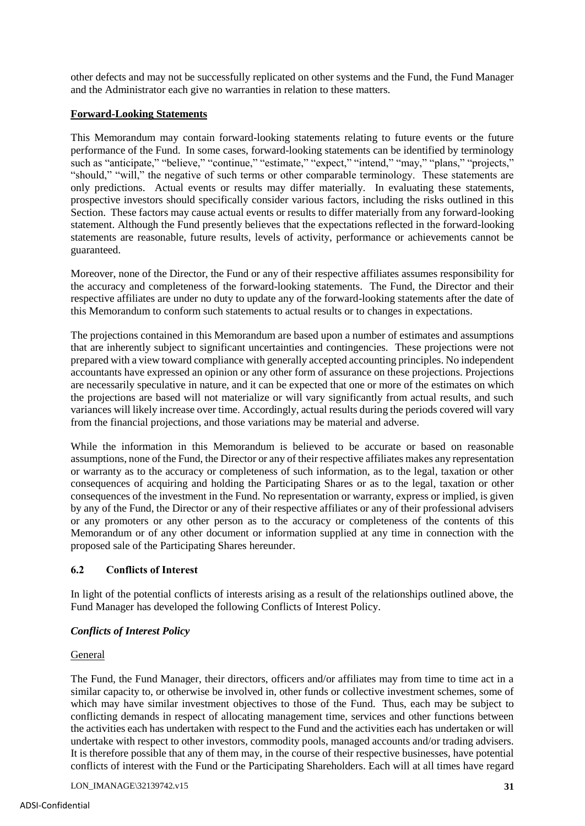other defects and may not be successfully replicated on other systems and the Fund, the Fund Manager and the Administrator each give no warranties in relation to these matters.

## **Forward-Looking Statements**

This Memorandum may contain forward-looking statements relating to future events or the future performance of the Fund. In some cases, forward-looking statements can be identified by terminology such as "anticipate," "believe," "continue," "estimate," "expect," "intend," "may," "plans," "projects," "should," "will," the negative of such terms or other comparable terminology. These statements are only predictions. Actual events or results may differ materially. In evaluating these statements, prospective investors should specifically consider various factors, including the risks outlined in this Section. These factors may cause actual events or results to differ materially from any forward-looking statement. Although the Fund presently believes that the expectations reflected in the forward-looking statements are reasonable, future results, levels of activity, performance or achievements cannot be guaranteed.

Moreover, none of the Director, the Fund or any of their respective affiliates assumes responsibility for the accuracy and completeness of the forward-looking statements. The Fund, the Director and their respective affiliates are under no duty to update any of the forward-looking statements after the date of this Memorandum to conform such statements to actual results or to changes in expectations.

The projections contained in this Memorandum are based upon a number of estimates and assumptions that are inherently subject to significant uncertainties and contingencies. These projections were not prepared with a view toward compliance with generally accepted accounting principles. No independent accountants have expressed an opinion or any other form of assurance on these projections. Projections are necessarily speculative in nature, and it can be expected that one or more of the estimates on which the projections are based will not materialize or will vary significantly from actual results, and such variances will likely increase over time. Accordingly, actual results during the periods covered will vary from the financial projections, and those variations may be material and adverse.

While the information in this Memorandum is believed to be accurate or based on reasonable assumptions, none of the Fund, the Director or any of their respective affiliates makes any representation or warranty as to the accuracy or completeness of such information, as to the legal, taxation or other consequences of acquiring and holding the Participating Shares or as to the legal, taxation or other consequences of the investment in the Fund. No representation or warranty, express or implied, is given by any of the Fund, the Director or any of their respective affiliates or any of their professional advisers or any promoters or any other person as to the accuracy or completeness of the contents of this Memorandum or of any other document or information supplied at any time in connection with the proposed sale of the Participating Shares hereunder.

# **6.2 Conflicts of Interest**

In light of the potential conflicts of interests arising as a result of the relationships outlined above, the Fund Manager has developed the following Conflicts of Interest Policy.

# *Conflicts of Interest Policy*

## General

The Fund, the Fund Manager, their directors, officers and/or affiliates may from time to time act in a similar capacity to, or otherwise be involved in, other funds or collective investment schemes, some of which may have similar investment objectives to those of the Fund. Thus, each may be subject to conflicting demands in respect of allocating management time, services and other functions between the activities each has undertaken with respect to the Fund and the activities each has undertaken or will undertake with respect to other investors, commodity pools, managed accounts and/or trading advisers. It is therefore possible that any of them may, in the course of their respective businesses, have potential conflicts of interest with the Fund or the Participating Shareholders. Each will at all times have regard

LON\_IMANAGE\32139742.v15 **31**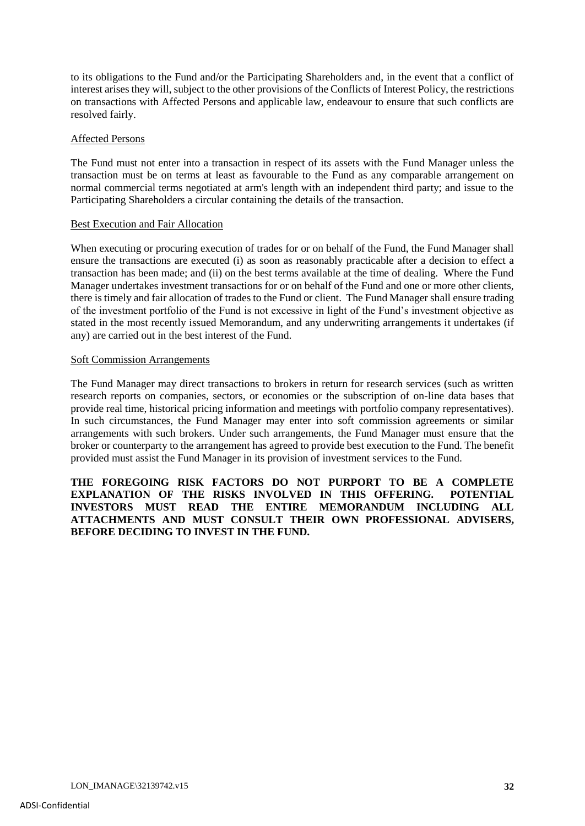to its obligations to the Fund and/or the Participating Shareholders and, in the event that a conflict of interest arises they will, subject to the other provisions of the Conflicts of Interest Policy, the restrictions on transactions with Affected Persons and applicable law, endeavour to ensure that such conflicts are resolved fairly.

#### Affected Persons

The Fund must not enter into a transaction in respect of its assets with the Fund Manager unless the transaction must be on terms at least as favourable to the Fund as any comparable arrangement on normal commercial terms negotiated at arm's length with an independent third party; and issue to the Participating Shareholders a circular containing the details of the transaction.

#### Best Execution and Fair Allocation

When executing or procuring execution of trades for or on behalf of the Fund, the Fund Manager shall ensure the transactions are executed (i) as soon as reasonably practicable after a decision to effect a transaction has been made; and (ii) on the best terms available at the time of dealing. Where the Fund Manager undertakes investment transactions for or on behalf of the Fund and one or more other clients, there is timely and fair allocation of trades to the Fund or client. The Fund Manager shall ensure trading of the investment portfolio of the Fund is not excessive in light of the Fund's investment objective as stated in the most recently issued Memorandum, and any underwriting arrangements it undertakes (if any) are carried out in the best interest of the Fund.

#### Soft Commission Arrangements

The Fund Manager may direct transactions to brokers in return for research services (such as written research reports on companies, sectors, or economies or the subscription of on-line data bases that provide real time, historical pricing information and meetings with portfolio company representatives). In such circumstances, the Fund Manager may enter into soft commission agreements or similar arrangements with such brokers. Under such arrangements, the Fund Manager must ensure that the broker or counterparty to the arrangement has agreed to provide best execution to the Fund. The benefit provided must assist the Fund Manager in its provision of investment services to the Fund.

**THE FOREGOING RISK FACTORS DO NOT PURPORT TO BE A COMPLETE EXPLANATION OF THE RISKS INVOLVED IN THIS OFFERING. POTENTIAL INVESTORS MUST READ THE ENTIRE MEMORANDUM INCLUDING ALL ATTACHMENTS AND MUST CONSULT THEIR OWN PROFESSIONAL ADVISERS, BEFORE DECIDING TO INVEST IN THE FUND.**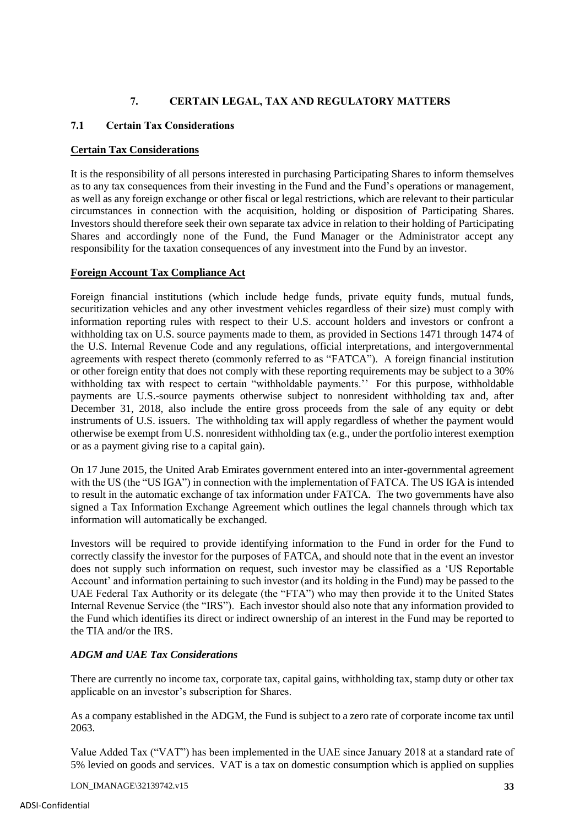# **7. CERTAIN LEGAL, TAX AND REGULATORY MATTERS**

# **7.1 Certain Tax Considerations**

# **Certain Tax Considerations**

It is the responsibility of all persons interested in purchasing Participating Shares to inform themselves as to any tax consequences from their investing in the Fund and the Fund's operations or management, as well as any foreign exchange or other fiscal or legal restrictions, which are relevant to their particular circumstances in connection with the acquisition, holding or disposition of Participating Shares. Investors should therefore seek their own separate tax advice in relation to their holding of Participating Shares and accordingly none of the Fund, the Fund Manager or the Administrator accept any responsibility for the taxation consequences of any investment into the Fund by an investor.

# **Foreign Account Tax Compliance Act**

Foreign financial institutions (which include hedge funds, private equity funds, mutual funds, securitization vehicles and any other investment vehicles regardless of their size) must comply with information reporting rules with respect to their U.S. account holders and investors or confront a withholding tax on U.S. source payments made to them, as provided in Sections 1471 through 1474 of the U.S. Internal Revenue Code and any regulations, official interpretations, and intergovernmental agreements with respect thereto (commonly referred to as "FATCA"). A foreign financial institution or other foreign entity that does not comply with these reporting requirements may be subject to a 30% withholding tax with respect to certain "withholdable payments.'' For this purpose, withholdable payments are U.S.-source payments otherwise subject to nonresident withholding tax and, after December 31, 2018, also include the entire gross proceeds from the sale of any equity or debt instruments of U.S. issuers. The withholding tax will apply regardless of whether the payment would otherwise be exempt from U.S. nonresident withholding tax (e.g., under the portfolio interest exemption or as a payment giving rise to a capital gain).

On 17 June 2015, the United Arab Emirates government entered into an inter-governmental agreement with the US (the "US IGA") in connection with the implementation of FATCA. The US IGA is intended to result in the automatic exchange of tax information under FATCA. The two governments have also signed a Tax Information Exchange Agreement which outlines the legal channels through which tax information will automatically be exchanged.

Investors will be required to provide identifying information to the Fund in order for the Fund to correctly classify the investor for the purposes of FATCA, and should note that in the event an investor does not supply such information on request, such investor may be classified as a 'US Reportable Account' and information pertaining to such investor (and its holding in the Fund) may be passed to the UAE Federal Tax Authority or its delegate (the "FTA") who may then provide it to the United States Internal Revenue Service (the "IRS"). Each investor should also note that any information provided to the Fund which identifies its direct or indirect ownership of an interest in the Fund may be reported to the TIA and/or the IRS.

# *ADGM and UAE Tax Considerations*

There are currently no income tax, corporate tax, capital gains, withholding tax, stamp duty or other tax applicable on an investor's subscription for Shares.

As a company established in the ADGM, the Fund is subject to a zero rate of corporate income tax until 2063.

Value Added Tax ("VAT") has been implemented in the UAE since January 2018 at a standard rate of 5% levied on goods and services. VAT is a tax on domestic consumption which is applied on supplies

LON\_IMANAGE\32139742.v15 **33**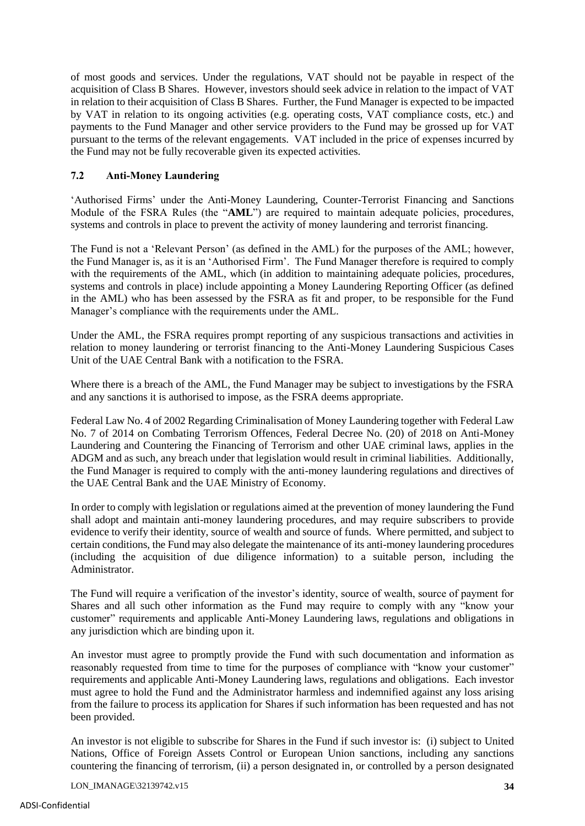of most goods and services. Under the regulations, VAT should not be payable in respect of the acquisition of Class B Shares. However, investors should seek advice in relation to the impact of VAT in relation to their acquisition of Class B Shares. Further, the Fund Manager is expected to be impacted by VAT in relation to its ongoing activities (e.g. operating costs, VAT compliance costs, etc.) and payments to the Fund Manager and other service providers to the Fund may be grossed up for VAT pursuant to the terms of the relevant engagements. VAT included in the price of expenses incurred by the Fund may not be fully recoverable given its expected activities.

## **7.2 Anti-Money Laundering**

'Authorised Firms' under the Anti-Money Laundering, Counter-Terrorist Financing and Sanctions Module of the FSRA Rules (the "**AML**") are required to maintain adequate policies, procedures, systems and controls in place to prevent the activity of money laundering and terrorist financing.

The Fund is not a 'Relevant Person' (as defined in the AML) for the purposes of the AML; however, the Fund Manager is, as it is an 'Authorised Firm'. The Fund Manager therefore is required to comply with the requirements of the AML, which (in addition to maintaining adequate policies, procedures, systems and controls in place) include appointing a Money Laundering Reporting Officer (as defined in the AML) who has been assessed by the FSRA as fit and proper, to be responsible for the Fund Manager's compliance with the requirements under the AML.

Under the AML, the FSRA requires prompt reporting of any suspicious transactions and activities in relation to money laundering or terrorist financing to the Anti-Money Laundering Suspicious Cases Unit of the UAE Central Bank with a notification to the FSRA.

Where there is a breach of the AML, the Fund Manager may be subject to investigations by the FSRA and any sanctions it is authorised to impose, as the FSRA deems appropriate.

Federal Law No. 4 of 2002 Regarding Criminalisation of Money Laundering together with Federal Law No. 7 of 2014 on Combating Terrorism Offences, Federal Decree No. (20) of 2018 on Anti-Money Laundering and Countering the Financing of Terrorism and other UAE criminal laws, applies in the ADGM and as such, any breach under that legislation would result in criminal liabilities. Additionally, the Fund Manager is required to comply with the anti-money laundering regulations and directives of the UAE Central Bank and the UAE Ministry of Economy.

In order to comply with legislation or regulations aimed at the prevention of money laundering the Fund shall adopt and maintain anti-money laundering procedures, and may require subscribers to provide evidence to verify their identity, source of wealth and source of funds. Where permitted, and subject to certain conditions, the Fund may also delegate the maintenance of its anti-money laundering procedures (including the acquisition of due diligence information) to a suitable person, including the Administrator.

The Fund will require a verification of the investor's identity, source of wealth, source of payment for Shares and all such other information as the Fund may require to comply with any "know your customer" requirements and applicable Anti-Money Laundering laws, regulations and obligations in any jurisdiction which are binding upon it.

An investor must agree to promptly provide the Fund with such documentation and information as reasonably requested from time to time for the purposes of compliance with "know your customer" requirements and applicable Anti-Money Laundering laws, regulations and obligations. Each investor must agree to hold the Fund and the Administrator harmless and indemnified against any loss arising from the failure to process its application for Shares if such information has been requested and has not been provided.

An investor is not eligible to subscribe for Shares in the Fund if such investor is: (i) subject to United Nations, Office of Foreign Assets Control or European Union sanctions, including any sanctions countering the financing of terrorism, (ii) a person designated in, or controlled by a person designated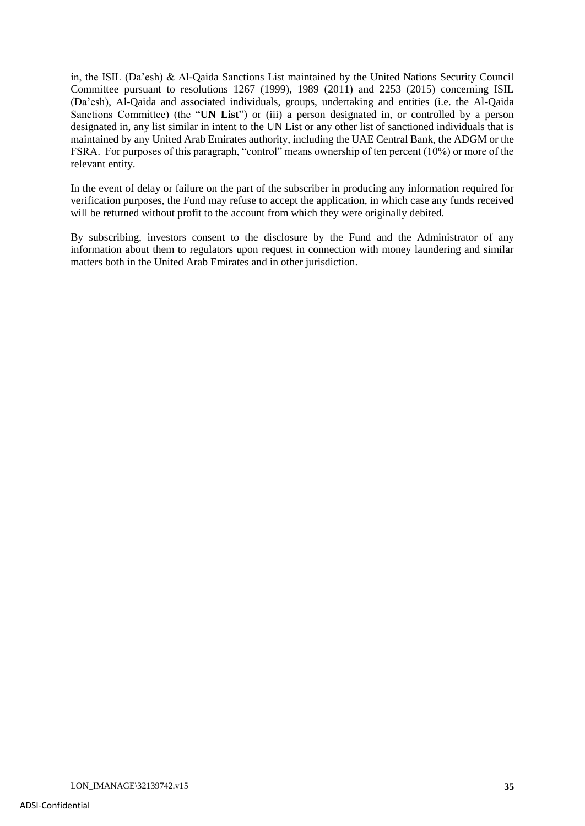in, the ISIL (Da'esh) & Al-Qaida Sanctions List maintained by the United Nations Security Council Committee pursuant to resolutions 1267 (1999), 1989 (2011) and 2253 (2015) concerning ISIL (Da'esh), Al-Qaida and associated individuals, groups, undertaking and entities (i.e. the Al-Qaida Sanctions Committee) (the "**UN List**") or (iii) a person designated in, or controlled by a person designated in, any list similar in intent to the UN List or any other list of sanctioned individuals that is maintained by any United Arab Emirates authority, including the UAE Central Bank, the ADGM or the FSRA. For purposes of this paragraph, "control" means ownership of ten percent (10%) or more of the relevant entity.

In the event of delay or failure on the part of the subscriber in producing any information required for verification purposes, the Fund may refuse to accept the application, in which case any funds received will be returned without profit to the account from which they were originally debited.

By subscribing, investors consent to the disclosure by the Fund and the Administrator of any information about them to regulators upon request in connection with money laundering and similar matters both in the United Arab Emirates and in other jurisdiction.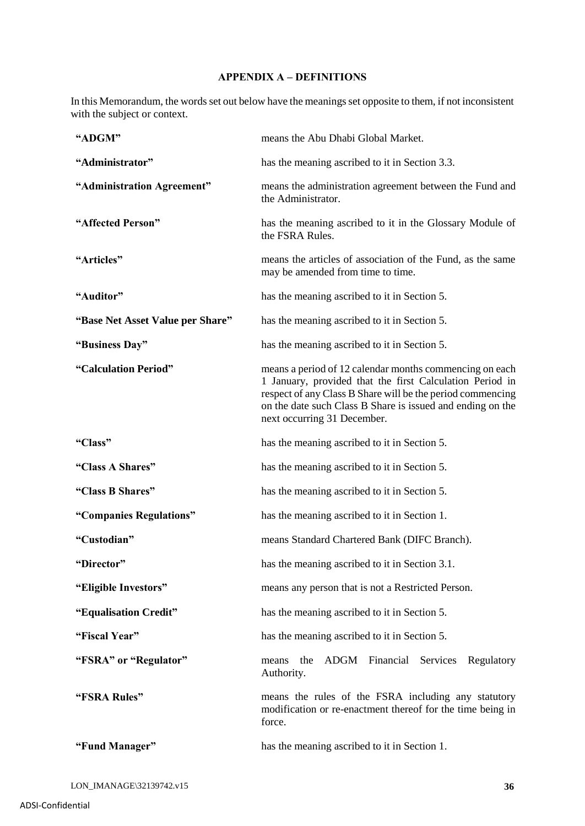# **APPENDIX A – DEFINITIONS**

In this Memorandum, the words set out below have the meanings set opposite to them, if not inconsistent with the subject or context.

| "ADGM"                           | means the Abu Dhabi Global Market.                                                                                                                                                                                                                                             |
|----------------------------------|--------------------------------------------------------------------------------------------------------------------------------------------------------------------------------------------------------------------------------------------------------------------------------|
| "Administrator"                  | has the meaning ascribed to it in Section 3.3.                                                                                                                                                                                                                                 |
| "Administration Agreement"       | means the administration agreement between the Fund and<br>the Administrator.                                                                                                                                                                                                  |
| "Affected Person"                | has the meaning ascribed to it in the Glossary Module of<br>the FSRA Rules.                                                                                                                                                                                                    |
| "Articles"                       | means the articles of association of the Fund, as the same<br>may be amended from time to time.                                                                                                                                                                                |
| "Auditor"                        | has the meaning ascribed to it in Section 5.                                                                                                                                                                                                                                   |
| "Base Net Asset Value per Share" | has the meaning ascribed to it in Section 5.                                                                                                                                                                                                                                   |
| "Business Day"                   | has the meaning ascribed to it in Section 5.                                                                                                                                                                                                                                   |
| "Calculation Period"             | means a period of 12 calendar months commencing on each<br>1 January, provided that the first Calculation Period in<br>respect of any Class B Share will be the period commencing<br>on the date such Class B Share is issued and ending on the<br>next occurring 31 December. |
| "Class"                          | has the meaning ascribed to it in Section 5.                                                                                                                                                                                                                                   |
| "Class A Shares"                 | has the meaning ascribed to it in Section 5.                                                                                                                                                                                                                                   |
| "Class B Shares"                 | has the meaning ascribed to it in Section 5.                                                                                                                                                                                                                                   |
| "Companies Regulations"          | has the meaning ascribed to it in Section 1.                                                                                                                                                                                                                                   |
| "Custodian"                      | means Standard Chartered Bank (DIFC Branch).                                                                                                                                                                                                                                   |
| "Director"                       | has the meaning ascribed to it in Section 3.1.                                                                                                                                                                                                                                 |
| "Eligible Investors"             | means any person that is not a Restricted Person.                                                                                                                                                                                                                              |
| "Equalisation Credit"            | has the meaning ascribed to it in Section 5.                                                                                                                                                                                                                                   |
| "Fiscal Year"                    | has the meaning ascribed to it in Section 5.                                                                                                                                                                                                                                   |
| "FSRA" or "Regulator"            | ADGM Financial<br>Services<br>the<br>Regulatory<br>means<br>Authority.                                                                                                                                                                                                         |
| "FSRA Rules"                     | means the rules of the FSRA including any statutory<br>modification or re-enactment thereof for the time being in<br>force.                                                                                                                                                    |
| "Fund Manager"                   | has the meaning ascribed to it in Section 1.                                                                                                                                                                                                                                   |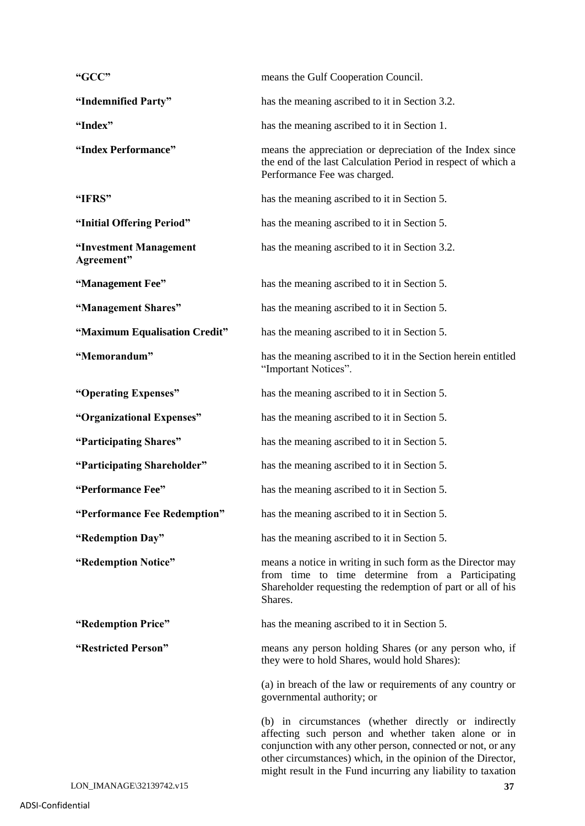| "GCC"                                | means the Gulf Cooperation Council.                                                                                                                                                                                                                                                                       |
|--------------------------------------|-----------------------------------------------------------------------------------------------------------------------------------------------------------------------------------------------------------------------------------------------------------------------------------------------------------|
| "Indemnified Party"                  | has the meaning ascribed to it in Section 3.2.                                                                                                                                                                                                                                                            |
| "Index"                              | has the meaning ascribed to it in Section 1.                                                                                                                                                                                                                                                              |
| "Index Performance"                  | means the appreciation or depreciation of the Index since<br>the end of the last Calculation Period in respect of which a<br>Performance Fee was charged.                                                                                                                                                 |
| "IFRS"                               | has the meaning ascribed to it in Section 5.                                                                                                                                                                                                                                                              |
| "Initial Offering Period"            | has the meaning ascribed to it in Section 5.                                                                                                                                                                                                                                                              |
| "Investment Management<br>Agreement" | has the meaning ascribed to it in Section 3.2.                                                                                                                                                                                                                                                            |
| "Management Fee"                     | has the meaning ascribed to it in Section 5.                                                                                                                                                                                                                                                              |
| "Management Shares"                  | has the meaning ascribed to it in Section 5.                                                                                                                                                                                                                                                              |
| "Maximum Equalisation Credit"        | has the meaning ascribed to it in Section 5.                                                                                                                                                                                                                                                              |
| "Memorandum"                         | has the meaning ascribed to it in the Section herein entitled<br>"Important Notices".                                                                                                                                                                                                                     |
| "Operating Expenses"                 | has the meaning ascribed to it in Section 5.                                                                                                                                                                                                                                                              |
| "Organizational Expenses"            | has the meaning ascribed to it in Section 5.                                                                                                                                                                                                                                                              |
| "Participating Shares"               | has the meaning ascribed to it in Section 5.                                                                                                                                                                                                                                                              |
| "Participating Shareholder"          | has the meaning ascribed to it in Section 5.                                                                                                                                                                                                                                                              |
| "Performance Fee"                    | has the meaning ascribed to it in Section 5.                                                                                                                                                                                                                                                              |
| "Performance Fee Redemption"         | has the meaning ascribed to it in Section 5.                                                                                                                                                                                                                                                              |
| "Redemption Day"                     | has the meaning ascribed to it in Section 5.                                                                                                                                                                                                                                                              |
| "Redemption Notice"                  | means a notice in writing in such form as the Director may<br>from time to time determine from a Participating<br>Shareholder requesting the redemption of part or all of his<br>Shares.                                                                                                                  |
| "Redemption Price"                   | has the meaning ascribed to it in Section 5.                                                                                                                                                                                                                                                              |
| "Restricted Person"                  | means any person holding Shares (or any person who, if<br>they were to hold Shares, would hold Shares):                                                                                                                                                                                                   |
|                                      | (a) in breach of the law or requirements of any country or<br>governmental authority; or                                                                                                                                                                                                                  |
|                                      | (b) in circumstances (whether directly or indirectly<br>affecting such person and whether taken alone or in<br>conjunction with any other person, connected or not, or any<br>other circumstances) which, in the opinion of the Director,<br>might result in the Fund incurring any liability to taxation |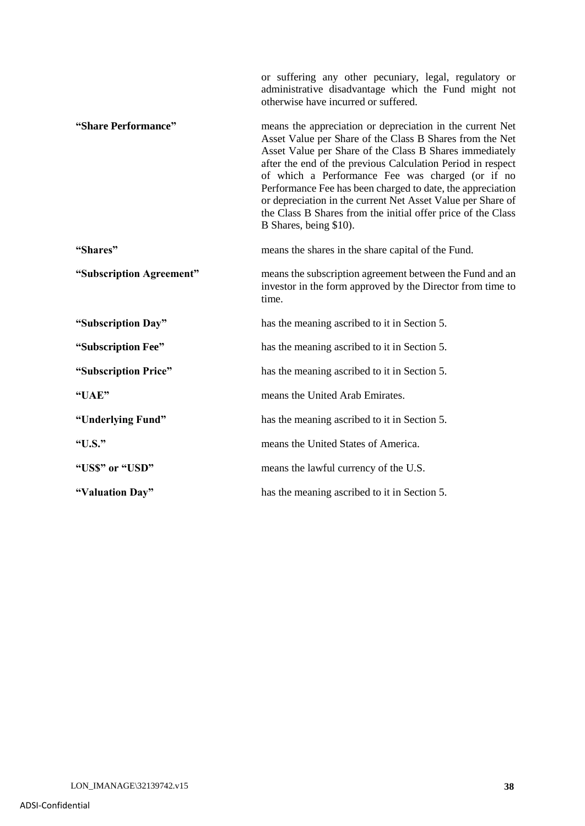|                          | or suffering any other pecuniary, legal, regulatory or<br>administrative disadvantage which the Fund might not<br>otherwise have incurred or suffered.                                                                                                                                                                                                                                                                                                                                                                     |
|--------------------------|----------------------------------------------------------------------------------------------------------------------------------------------------------------------------------------------------------------------------------------------------------------------------------------------------------------------------------------------------------------------------------------------------------------------------------------------------------------------------------------------------------------------------|
| "Share Performance"      | means the appreciation or depreciation in the current Net<br>Asset Value per Share of the Class B Shares from the Net<br>Asset Value per Share of the Class B Shares immediately<br>after the end of the previous Calculation Period in respect<br>of which a Performance Fee was charged (or if no<br>Performance Fee has been charged to date, the appreciation<br>or depreciation in the current Net Asset Value per Share of<br>the Class B Shares from the initial offer price of the Class<br>B Shares, being \$10). |
| "Shares"                 | means the shares in the share capital of the Fund.                                                                                                                                                                                                                                                                                                                                                                                                                                                                         |
| "Subscription Agreement" | means the subscription agreement between the Fund and an<br>investor in the form approved by the Director from time to<br>time.                                                                                                                                                                                                                                                                                                                                                                                            |
| "Subscription Day"       | has the meaning ascribed to it in Section 5.                                                                                                                                                                                                                                                                                                                                                                                                                                                                               |
| "Subscription Fee"       | has the meaning ascribed to it in Section 5.                                                                                                                                                                                                                                                                                                                                                                                                                                                                               |
| "Subscription Price"     | has the meaning ascribed to it in Section 5.                                                                                                                                                                                                                                                                                                                                                                                                                                                                               |
| "UAE"                    | means the United Arab Emirates.                                                                                                                                                                                                                                                                                                                                                                                                                                                                                            |
| "Underlying Fund"        | has the meaning ascribed to it in Section 5.                                                                                                                                                                                                                                                                                                                                                                                                                                                                               |
| "U.S."                   | means the United States of America.                                                                                                                                                                                                                                                                                                                                                                                                                                                                                        |
| "US\$" or "USD"          | means the lawful currency of the U.S.                                                                                                                                                                                                                                                                                                                                                                                                                                                                                      |
| "Valuation Day"          | has the meaning ascribed to it in Section 5.                                                                                                                                                                                                                                                                                                                                                                                                                                                                               |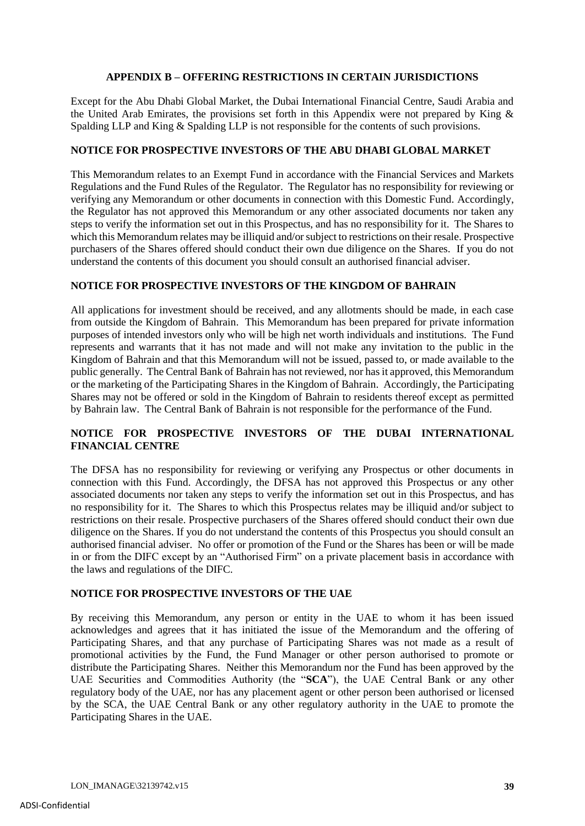## **APPENDIX B – OFFERING RESTRICTIONS IN CERTAIN JURISDICTIONS**

Except for the Abu Dhabi Global Market, the Dubai International Financial Centre, Saudi Arabia and the United Arab Emirates, the provisions set forth in this Appendix were not prepared by King & Spalding LLP and King & Spalding LLP is not responsible for the contents of such provisions.

## **NOTICE FOR PROSPECTIVE INVESTORS OF THE ABU DHABI GLOBAL MARKET**

This Memorandum relates to an Exempt Fund in accordance with the Financial Services and Markets Regulations and the Fund Rules of the Regulator. The Regulator has no responsibility for reviewing or verifying any Memorandum or other documents in connection with this Domestic Fund. Accordingly, the Regulator has not approved this Memorandum or any other associated documents nor taken any steps to verify the information set out in this Prospectus, and has no responsibility for it. The Shares to which this Memorandum relates may be illiquid and/or subject to restrictions on their resale. Prospective purchasers of the Shares offered should conduct their own due diligence on the Shares. If you do not understand the contents of this document you should consult an authorised financial adviser.

## **NOTICE FOR PROSPECTIVE INVESTORS OF THE KINGDOM OF BAHRAIN**

All applications for investment should be received, and any allotments should be made, in each case from outside the Kingdom of Bahrain. This Memorandum has been prepared for private information purposes of intended investors only who will be high net worth individuals and institutions. The Fund represents and warrants that it has not made and will not make any invitation to the public in the Kingdom of Bahrain and that this Memorandum will not be issued, passed to, or made available to the public generally. The Central Bank of Bahrain has not reviewed, nor has it approved, this Memorandum or the marketing of the Participating Shares in the Kingdom of Bahrain. Accordingly, the Participating Shares may not be offered or sold in the Kingdom of Bahrain to residents thereof except as permitted by Bahrain law. The Central Bank of Bahrain is not responsible for the performance of the Fund.

# **NOTICE FOR PROSPECTIVE INVESTORS OF THE DUBAI INTERNATIONAL FINANCIAL CENTRE**

The DFSA has no responsibility for reviewing or verifying any Prospectus or other documents in connection with this Fund. Accordingly, the DFSA has not approved this Prospectus or any other associated documents nor taken any steps to verify the information set out in this Prospectus, and has no responsibility for it. The Shares to which this Prospectus relates may be illiquid and/or subject to restrictions on their resale. Prospective purchasers of the Shares offered should conduct their own due diligence on the Shares. If you do not understand the contents of this Prospectus you should consult an authorised financial adviser. No offer or promotion of the Fund or the Shares has been or will be made in or from the DIFC except by an "Authorised Firm" on a private placement basis in accordance with the laws and regulations of the DIFC.

## **NOTICE FOR PROSPECTIVE INVESTORS OF THE UAE**

By receiving this Memorandum, any person or entity in the UAE to whom it has been issued acknowledges and agrees that it has initiated the issue of the Memorandum and the offering of Participating Shares, and that any purchase of Participating Shares was not made as a result of promotional activities by the Fund, the Fund Manager or other person authorised to promote or distribute the Participating Shares. Neither this Memorandum nor the Fund has been approved by the UAE Securities and Commodities Authority (the "**SCA**"), the UAE Central Bank or any other regulatory body of the UAE, nor has any placement agent or other person been authorised or licensed by the SCA, the UAE Central Bank or any other regulatory authority in the UAE to promote the Participating Shares in the UAE.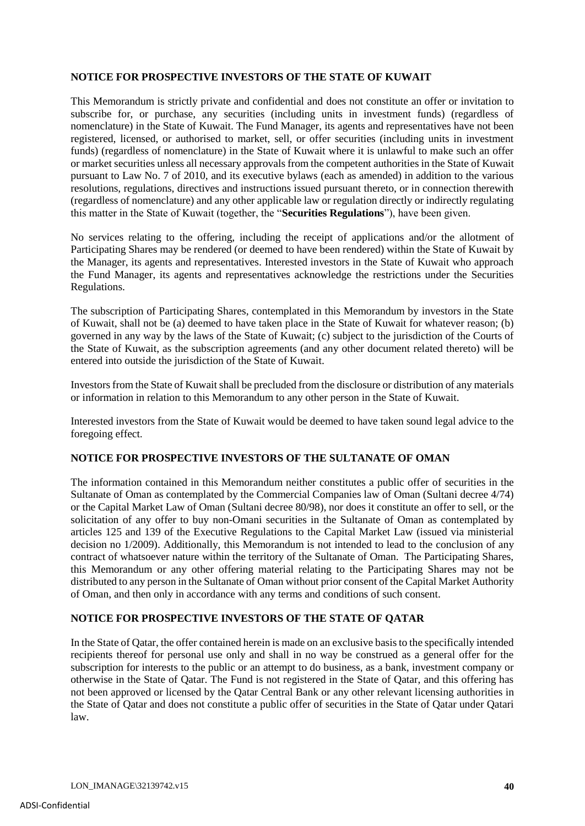## **NOTICE FOR PROSPECTIVE INVESTORS OF THE STATE OF KUWAIT**

This Memorandum is strictly private and confidential and does not constitute an offer or invitation to subscribe for, or purchase, any securities (including units in investment funds) (regardless of nomenclature) in the State of Kuwait. The Fund Manager, its agents and representatives have not been registered, licensed, or authorised to market, sell, or offer securities (including units in investment funds) (regardless of nomenclature) in the State of Kuwait where it is unlawful to make such an offer or market securities unless all necessary approvals from the competent authorities in the State of Kuwait pursuant to Law No. 7 of 2010, and its executive bylaws (each as amended) in addition to the various resolutions, regulations, directives and instructions issued pursuant thereto, or in connection therewith (regardless of nomenclature) and any other applicable law or regulation directly or indirectly regulating this matter in the State of Kuwait (together, the "**Securities Regulations**"), have been given.

No services relating to the offering, including the receipt of applications and/or the allotment of Participating Shares may be rendered (or deemed to have been rendered) within the State of Kuwait by the Manager, its agents and representatives. Interested investors in the State of Kuwait who approach the Fund Manager, its agents and representatives acknowledge the restrictions under the Securities Regulations.

The subscription of Participating Shares, contemplated in this Memorandum by investors in the State of Kuwait, shall not be (a) deemed to have taken place in the State of Kuwait for whatever reason; (b) governed in any way by the laws of the State of Kuwait; (c) subject to the jurisdiction of the Courts of the State of Kuwait, as the subscription agreements (and any other document related thereto) will be entered into outside the jurisdiction of the State of Kuwait.

Investors from the State of Kuwait shall be precluded from the disclosure or distribution of any materials or information in relation to this Memorandum to any other person in the State of Kuwait.

Interested investors from the State of Kuwait would be deemed to have taken sound legal advice to the foregoing effect*.*

## **NOTICE FOR PROSPECTIVE INVESTORS OF THE SULTANATE OF OMAN**

The information contained in this Memorandum neither constitutes a public offer of securities in the Sultanate of Oman as contemplated by the Commercial Companies law of Oman (Sultani decree 4/74) or the Capital Market Law of Oman (Sultani decree 80/98), nor does it constitute an offer to sell, or the solicitation of any offer to buy non-Omani securities in the Sultanate of Oman as contemplated by articles 125 and 139 of the Executive Regulations to the Capital Market Law (issued via ministerial decision no 1/2009). Additionally, this Memorandum is not intended to lead to the conclusion of any contract of whatsoever nature within the territory of the Sultanate of Oman. The Participating Shares, this Memorandum or any other offering material relating to the Participating Shares may not be distributed to any person in the Sultanate of Oman without prior consent of the Capital Market Authority of Oman, and then only in accordance with any terms and conditions of such consent.

## **NOTICE FOR PROSPECTIVE INVESTORS OF THE STATE OF QATAR**

In the State of Qatar, the offer contained herein is made on an exclusive basis to the specifically intended recipients thereof for personal use only and shall in no way be construed as a general offer for the subscription for interests to the public or an attempt to do business, as a bank, investment company or otherwise in the State of Qatar. The Fund is not registered in the State of Qatar, and this offering has not been approved or licensed by the Qatar Central Bank or any other relevant licensing authorities in the State of Qatar and does not constitute a public offer of securities in the State of Qatar under Qatari law.